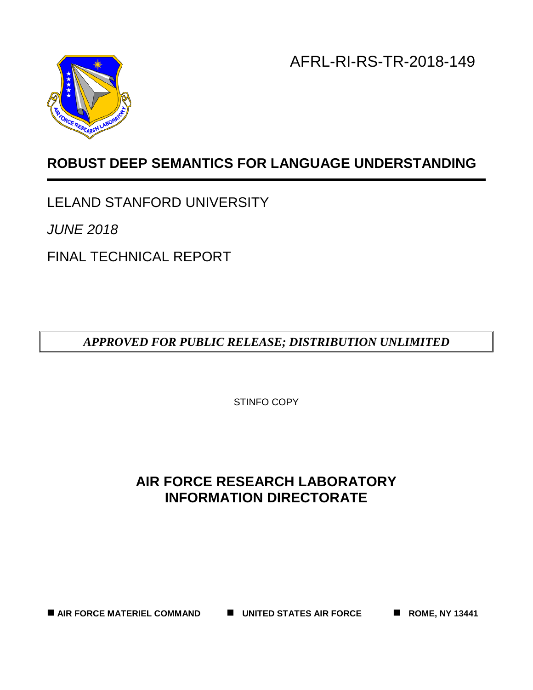AFRL-RI-RS-TR-2018-149



# **ROBUST DEEP SEMANTICS FOR LANGUAGE UNDERSTANDING**

LELAND STANFORD UNIVERSITY

*JUNE 2018*

FINAL TECHNICAL REPORT

*APPROVED FOR PUBLIC RELEASE; DISTRIBUTION UNLIMITED*

STINFO COPY

# **AIR FORCE RESEARCH LABORATORY INFORMATION DIRECTORATE**

■ AIR FORCE MATERIEL COMMAND ■ UNITED STATES AIR FORCE ■ ROME, NY 13441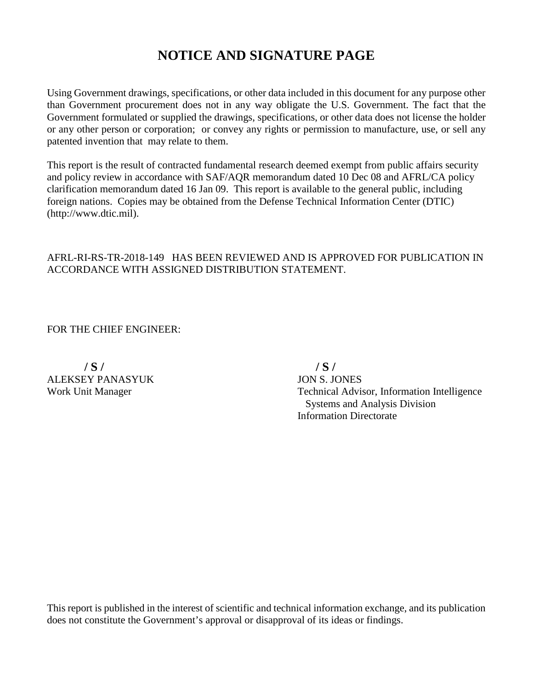# **NOTICE AND SIGNATURE PAGE**

Using Government drawings, specifications, or other data included in this document for any purpose other than Government procurement does not in any way obligate the U.S. Government. The fact that the Government formulated or supplied the drawings, specifications, or other data does not license the holder or any other person or corporation; or convey any rights or permission to manufacture, use, or sell any patented invention that may relate to them.

This report is the result of contracted fundamental research deemed exempt from public affairs security and policy review in accordance with SAF/AQR memorandum dated 10 Dec 08 and AFRL/CA policy clarification memorandum dated 16 Jan 09. This report is available to the general public, including foreign nations. Copies may be obtained from the Defense Technical Information Center (DTIC) (http://www.dtic.mil).

### AFRL-RI-RS-TR-2018-149 HAS BEEN REVIEWED AND IS APPROVED FOR PUBLICATION IN ACCORDANCE WITH ASSIGNED DISTRIBUTION STATEMENT.

FOR THE CHIEF ENGINEER:

 **/ S / / S /** ALEKSEY PANASYUK JON S. JONES

Work Unit Manager Technical Advisor, Information Intelligence Systems and Analysis Division Information Directorate

This report is published in the interest of scientific and technical information exchange, and its publication does not constitute the Government's approval or disapproval of its ideas or findings.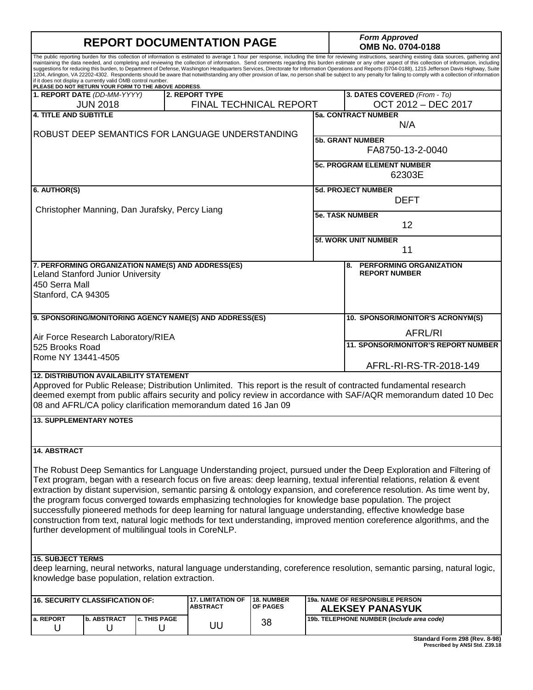| <b>REPORT DOCUMENTATION PAGE</b>                                                                                                                                                                                                                                                                                                                                                                                                                                                                                                                                                                                                                                                                                                                                                                                                                                                                                                                                      |                         |                                                       |                                                                |                                      | <b>Form Approved</b><br>OMB No. 0704-0188 |                                                                                                                                                                                                                                                                                                                                                                                                                                                                                                                                                                                                                                                                                                                              |
|-----------------------------------------------------------------------------------------------------------------------------------------------------------------------------------------------------------------------------------------------------------------------------------------------------------------------------------------------------------------------------------------------------------------------------------------------------------------------------------------------------------------------------------------------------------------------------------------------------------------------------------------------------------------------------------------------------------------------------------------------------------------------------------------------------------------------------------------------------------------------------------------------------------------------------------------------------------------------|-------------------------|-------------------------------------------------------|----------------------------------------------------------------|--------------------------------------|-------------------------------------------|------------------------------------------------------------------------------------------------------------------------------------------------------------------------------------------------------------------------------------------------------------------------------------------------------------------------------------------------------------------------------------------------------------------------------------------------------------------------------------------------------------------------------------------------------------------------------------------------------------------------------------------------------------------------------------------------------------------------------|
| The public reporting burden for this collection of information is estimated to average 1 hour per response, including the time for reviewing instructions, searching existing data sources, gathering and<br>maintaining the data needed, and completing and reviewing the collection of information. Send comments regarding this burden estimate or any other aspect of this collection of information, including<br>suggestions for reducing this burden, to Department of Defense, Washington Headquarters Services, Directorate for Information Operations and Reports (0704-0188), 1215 Jefferson Davis Highway, Suite<br>1204, Arlington, VA 22202-4302. Respondents should be aware that notwithstanding any other provision of law, no person shall be subject to any penalty for failing to comply with a collection of information<br>if it does not display a currently valid OMB control number.<br>PLEASE DO NOT RETURN YOUR FORM TO THE ABOVE ADDRESS. |                         |                                                       |                                                                |                                      |                                           |                                                                                                                                                                                                                                                                                                                                                                                                                                                                                                                                                                                                                                                                                                                              |
| 1. REPORT DATE (DD-MM-YYYY)                                                                                                                                                                                                                                                                                                                                                                                                                                                                                                                                                                                                                                                                                                                                                                                                                                                                                                                                           |                         |                                                       | 2. REPORT TYPE<br><b>FINAL TECHNICAL REPORT</b>                |                                      |                                           | 3. DATES COVERED (From - To)<br>OCT 2012 - DEC 2017                                                                                                                                                                                                                                                                                                                                                                                                                                                                                                                                                                                                                                                                          |
| <b>4. TITLE AND SUBTITLE</b>                                                                                                                                                                                                                                                                                                                                                                                                                                                                                                                                                                                                                                                                                                                                                                                                                                                                                                                                          | <b>JUN 2018</b>         |                                                       |                                                                |                                      |                                           | <b>5a. CONTRACT NUMBER</b>                                                                                                                                                                                                                                                                                                                                                                                                                                                                                                                                                                                                                                                                                                   |
|                                                                                                                                                                                                                                                                                                                                                                                                                                                                                                                                                                                                                                                                                                                                                                                                                                                                                                                                                                       |                         |                                                       | ROBUST DEEP SEMANTICS FOR LANGUAGE UNDERSTANDING               |                                      |                                           | N/A                                                                                                                                                                                                                                                                                                                                                                                                                                                                                                                                                                                                                                                                                                                          |
|                                                                                                                                                                                                                                                                                                                                                                                                                                                                                                                                                                                                                                                                                                                                                                                                                                                                                                                                                                       |                         |                                                       |                                                                |                                      |                                           | <b>5b. GRANT NUMBER</b><br>FA8750-13-2-0040                                                                                                                                                                                                                                                                                                                                                                                                                                                                                                                                                                                                                                                                                  |
|                                                                                                                                                                                                                                                                                                                                                                                                                                                                                                                                                                                                                                                                                                                                                                                                                                                                                                                                                                       |                         |                                                       |                                                                |                                      |                                           | <b>5c. PROGRAM ELEMENT NUMBER</b><br>62303E                                                                                                                                                                                                                                                                                                                                                                                                                                                                                                                                                                                                                                                                                  |
| 6. AUTHOR(S)                                                                                                                                                                                                                                                                                                                                                                                                                                                                                                                                                                                                                                                                                                                                                                                                                                                                                                                                                          |                         |                                                       |                                                                |                                      |                                           | <b>5d. PROJECT NUMBER</b><br><b>DEFT</b>                                                                                                                                                                                                                                                                                                                                                                                                                                                                                                                                                                                                                                                                                     |
|                                                                                                                                                                                                                                                                                                                                                                                                                                                                                                                                                                                                                                                                                                                                                                                                                                                                                                                                                                       |                         | Christopher Manning, Dan Jurafsky, Percy Liang        |                                                                |                                      |                                           | <b>5e. TASK NUMBER</b><br>12                                                                                                                                                                                                                                                                                                                                                                                                                                                                                                                                                                                                                                                                                                 |
|                                                                                                                                                                                                                                                                                                                                                                                                                                                                                                                                                                                                                                                                                                                                                                                                                                                                                                                                                                       |                         |                                                       |                                                                |                                      |                                           | <b>5f. WORK UNIT NUMBER</b>                                                                                                                                                                                                                                                                                                                                                                                                                                                                                                                                                                                                                                                                                                  |
|                                                                                                                                                                                                                                                                                                                                                                                                                                                                                                                                                                                                                                                                                                                                                                                                                                                                                                                                                                       |                         |                                                       |                                                                |                                      |                                           | 11                                                                                                                                                                                                                                                                                                                                                                                                                                                                                                                                                                                                                                                                                                                           |
| <b>Leland Stanford Junior University</b><br>450 Serra Mall<br>Stanford, CA 94305                                                                                                                                                                                                                                                                                                                                                                                                                                                                                                                                                                                                                                                                                                                                                                                                                                                                                      |                         |                                                       | 7. PERFORMING ORGANIZATION NAME(S) AND ADDRESS(ES)             |                                      |                                           | 8. PERFORMING ORGANIZATION<br><b>REPORT NUMBER</b>                                                                                                                                                                                                                                                                                                                                                                                                                                                                                                                                                                                                                                                                           |
|                                                                                                                                                                                                                                                                                                                                                                                                                                                                                                                                                                                                                                                                                                                                                                                                                                                                                                                                                                       |                         |                                                       |                                                                |                                      |                                           |                                                                                                                                                                                                                                                                                                                                                                                                                                                                                                                                                                                                                                                                                                                              |
|                                                                                                                                                                                                                                                                                                                                                                                                                                                                                                                                                                                                                                                                                                                                                                                                                                                                                                                                                                       |                         |                                                       | 9. SPONSORING/MONITORING AGENCY NAME(S) AND ADDRESS(ES)        |                                      |                                           | 10. SPONSOR/MONITOR'S ACRONYM(S)                                                                                                                                                                                                                                                                                                                                                                                                                                                                                                                                                                                                                                                                                             |
| Air Force Research Laboratory/RIEA                                                                                                                                                                                                                                                                                                                                                                                                                                                                                                                                                                                                                                                                                                                                                                                                                                                                                                                                    |                         |                                                       |                                                                |                                      |                                           | AFRL/RI                                                                                                                                                                                                                                                                                                                                                                                                                                                                                                                                                                                                                                                                                                                      |
| 525 Brooks Road<br>Rome NY 13441-4505                                                                                                                                                                                                                                                                                                                                                                                                                                                                                                                                                                                                                                                                                                                                                                                                                                                                                                                                 |                         |                                                       | <b>11. SPONSOR/MONITOR'S REPORT NUMBER</b>                     |                                      |                                           |                                                                                                                                                                                                                                                                                                                                                                                                                                                                                                                                                                                                                                                                                                                              |
|                                                                                                                                                                                                                                                                                                                                                                                                                                                                                                                                                                                                                                                                                                                                                                                                                                                                                                                                                                       |                         |                                                       | AFRL-RI-RS-TR-2018-149                                         |                                      |                                           |                                                                                                                                                                                                                                                                                                                                                                                                                                                                                                                                                                                                                                                                                                                              |
|                                                                                                                                                                                                                                                                                                                                                                                                                                                                                                                                                                                                                                                                                                                                                                                                                                                                                                                                                                       |                         | <b>12. DISTRIBUTION AVAILABILITY STATEMENT</b>        | 08 and AFRL/CA policy clarification memorandum dated 16 Jan 09 |                                      |                                           | Approved for Public Release; Distribution Unlimited. This report is the result of contracted fundamental research<br>deemed exempt from public affairs security and policy review in accordance with SAF/AQR memorandum dated 10 Dec                                                                                                                                                                                                                                                                                                                                                                                                                                                                                         |
| <b>13. SUPPLEMENTARY NOTES</b>                                                                                                                                                                                                                                                                                                                                                                                                                                                                                                                                                                                                                                                                                                                                                                                                                                                                                                                                        |                         |                                                       |                                                                |                                      |                                           |                                                                                                                                                                                                                                                                                                                                                                                                                                                                                                                                                                                                                                                                                                                              |
| <b>14. ABSTRACT</b>                                                                                                                                                                                                                                                                                                                                                                                                                                                                                                                                                                                                                                                                                                                                                                                                                                                                                                                                                   |                         |                                                       |                                                                |                                      |                                           |                                                                                                                                                                                                                                                                                                                                                                                                                                                                                                                                                                                                                                                                                                                              |
|                                                                                                                                                                                                                                                                                                                                                                                                                                                                                                                                                                                                                                                                                                                                                                                                                                                                                                                                                                       |                         | further development of multilingual tools in CoreNLP. |                                                                |                                      |                                           | The Robust Deep Semantics for Language Understanding project, pursued under the Deep Exploration and Filtering of<br>Text program, began with a research focus on five areas: deep learning, textual inferential relations, relation & event<br>extraction by distant supervision, semantic parsing & ontology expansion, and coreference resolution. As time went by,<br>the program focus converged towards emphasizing technologies for knowledge base population. The project<br>successfully pioneered methods for deep learning for natural language understanding, effective knowledge base<br>construction from text, natural logic methods for text understanding, improved mention coreference algorithms, and the |
| <b>15. SUBJECT TERMS</b>                                                                                                                                                                                                                                                                                                                                                                                                                                                                                                                                                                                                                                                                                                                                                                                                                                                                                                                                              |                         |                                                       |                                                                |                                      |                                           | deep learning, neural networks, natural language understanding, coreference resolution, semantic parsing, natural logic,                                                                                                                                                                                                                                                                                                                                                                                                                                                                                                                                                                                                     |
|                                                                                                                                                                                                                                                                                                                                                                                                                                                                                                                                                                                                                                                                                                                                                                                                                                                                                                                                                                       |                         | knowledge base population, relation extraction.       |                                                                |                                      |                                           |                                                                                                                                                                                                                                                                                                                                                                                                                                                                                                                                                                                                                                                                                                                              |
| <b>16. SECURITY CLASSIFICATION OF:</b>                                                                                                                                                                                                                                                                                                                                                                                                                                                                                                                                                                                                                                                                                                                                                                                                                                                                                                                                |                         |                                                       | <b>17. LIMITATION OF</b><br><b>ABSTRACT</b>                    | <b>18. NUMBER</b><br><b>OF PAGES</b> |                                           | <b>19a. NAME OF RESPONSIBLE PERSON</b><br><b>ALEKSEY PANASYUK</b>                                                                                                                                                                                                                                                                                                                                                                                                                                                                                                                                                                                                                                                            |
| a. REPORT<br>U                                                                                                                                                                                                                                                                                                                                                                                                                                                                                                                                                                                                                                                                                                                                                                                                                                                                                                                                                        | <b>b. ABSTRACT</b><br>U | c. THIS PAGE<br>U                                     | UU                                                             | 38                                   |                                           | 19b. TELEPHONE NUMBER (Include area code)                                                                                                                                                                                                                                                                                                                                                                                                                                                                                                                                                                                                                                                                                    |

**Standard Form 298 (Rev. 8-98) Prescribed by ANSI Std. Z39.18**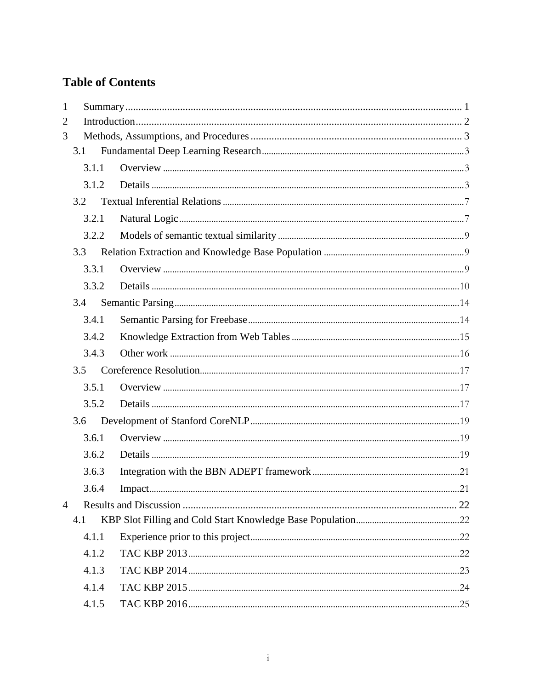# **Table of Contents**

| $\mathbf{1}$   |       |  |  |
|----------------|-------|--|--|
| 2              |       |  |  |
| 3              |       |  |  |
|                | 3.1   |  |  |
|                | 3.1.1 |  |  |
|                | 3.1.2 |  |  |
|                | 3.2   |  |  |
|                | 3.2.1 |  |  |
|                | 3.2.2 |  |  |
|                | 3.3   |  |  |
|                | 3.3.1 |  |  |
|                | 3.3.2 |  |  |
|                | 3.4   |  |  |
|                | 3.4.1 |  |  |
|                | 3.4.2 |  |  |
|                | 3.4.3 |  |  |
|                | 3.5   |  |  |
|                | 3.5.1 |  |  |
|                | 3.5.2 |  |  |
|                | 3.6   |  |  |
|                | 3.6.1 |  |  |
|                | 3.6.2 |  |  |
|                | 3.6.3 |  |  |
|                | 3.6.4 |  |  |
| $\overline{4}$ |       |  |  |
|                | 4.1   |  |  |
|                | 4.1.1 |  |  |
|                | 4.1.2 |  |  |
|                | 4.1.3 |  |  |
|                | 4.1.4 |  |  |
|                | 4.1.5 |  |  |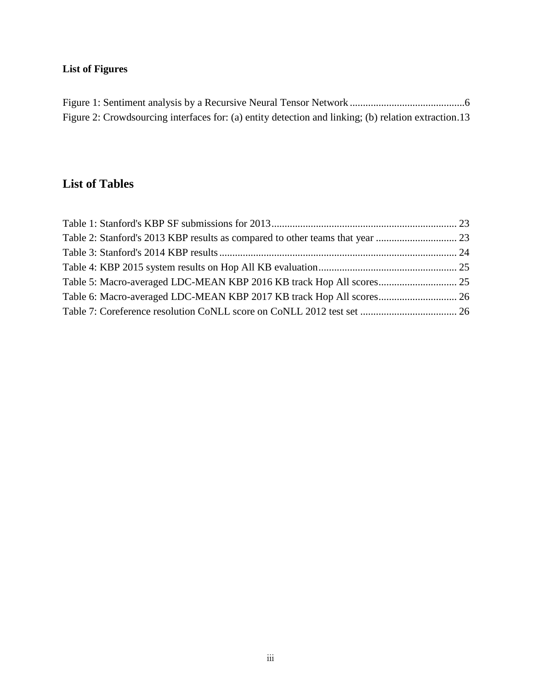# **List of Figures**

| Figure 2: Crowdsourcing interfaces for: (a) entity detection and linking; (b) relation extraction.13 |  |
|------------------------------------------------------------------------------------------------------|--|

# **List of Tables**

| Table 5: Macro-averaged LDC-MEAN KBP 2016 KB track Hop All scores 25 |  |
|----------------------------------------------------------------------|--|
| Table 6: Macro-averaged LDC-MEAN KBP 2017 KB track Hop All scores 26 |  |
|                                                                      |  |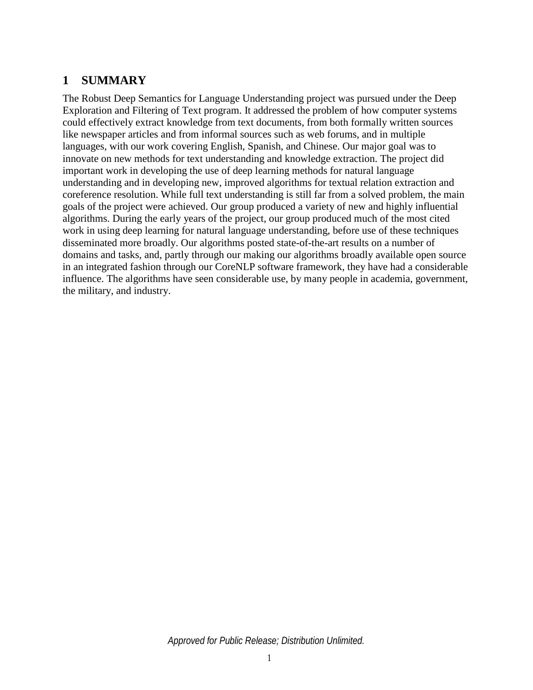# **1 SUMMARY**

The Robust Deep Semantics for Language Understanding project was pursued under the Deep Exploration and Filtering of Text program. It addressed the problem of how computer systems could effectively extract knowledge from text documents, from both formally written sources like newspaper articles and from informal sources such as web forums, and in multiple languages, with our work covering English, Spanish, and Chinese. Our major goal was to innovate on new methods for text understanding and knowledge extraction. The project did important work in developing the use of deep learning methods for natural language understanding and in developing new, improved algorithms for textual relation extraction and coreference resolution. While full text understanding is still far from a solved problem, the main goals of the project were achieved. Our group produced a variety of new and highly influential algorithms. During the early years of the project, our group produced much of the most cited work in using deep learning for natural language understanding, before use of these techniques disseminated more broadly. Our algorithms posted state-of-the-art results on a number of domains and tasks, and, partly through our making our algorithms broadly available open source in an integrated fashion through our CoreNLP software framework, they have had a considerable influence. The algorithms have seen considerable use, by many people in academia, government, the military, and industry.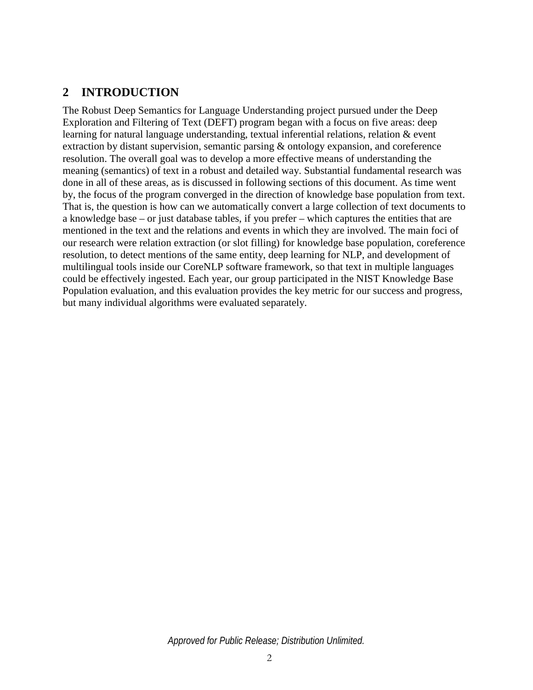# **2 INTRODUCTION**

The Robust Deep Semantics for Language Understanding project pursued under the Deep Exploration and Filtering of Text (DEFT) program began with a focus on five areas: deep learning for natural language understanding, textual inferential relations, relation & event extraction by distant supervision, semantic parsing & ontology expansion, and coreference resolution. The overall goal was to develop a more effective means of understanding the meaning (semantics) of text in a robust and detailed way. Substantial fundamental research was done in all of these areas, as is discussed in following sections of this document. As time went by, the focus of the program converged in the direction of knowledge base population from text. That is, the question is how can we automatically convert a large collection of text documents to a knowledge base – or just database tables, if you prefer – which captures the entities that are mentioned in the text and the relations and events in which they are involved. The main foci of our research were relation extraction (or slot filling) for knowledge base population, coreference resolution, to detect mentions of the same entity, deep learning for NLP, and development of multilingual tools inside our CoreNLP software framework, so that text in multiple languages could be effectively ingested. Each year, our group participated in the NIST Knowledge Base Population evaluation, and this evaluation provides the key metric for our success and progress, but many individual algorithms were evaluated separately.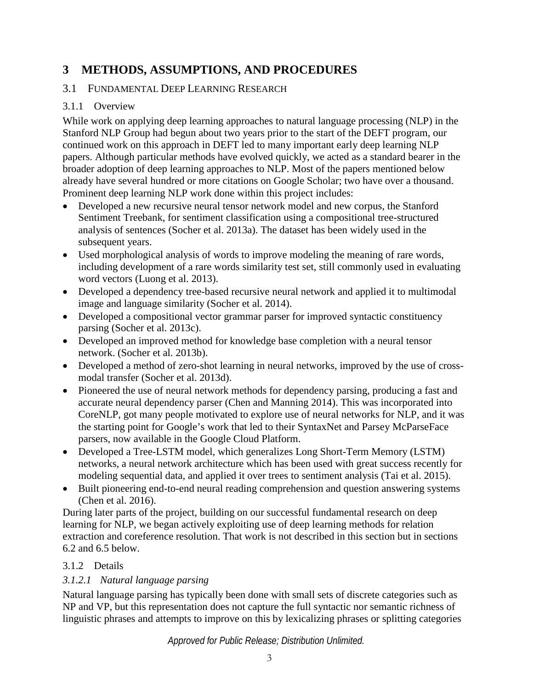# <span id="page-8-0"></span>**3 METHODS, ASSUMPTIONS, AND PROCEDURES**

# 3.1 FUNDAMENTAL DEEP LEARNING RESEARCH

# 3.1.1 Overview

While work on applying deep learning approaches to natural language processing (NLP) in the Stanford NLP Group had begun about two years prior to the start of the DEFT program, our continued work on this approach in DEFT led to many important early deep learning NLP papers. Although particular methods have evolved quickly, we acted as a standard bearer in the broader adoption of deep learning approaches to NLP. Most of the papers mentioned below already have several hundred or more citations on Google Scholar; two have over a thousand. Prominent deep learning NLP work done within this project includes:

- Developed a new recursive neural tensor network model and new corpus, the Stanford Sentiment Treebank, for sentiment classification using a compositional tree-structured analysis of sentences (Socher et al. 2013a). The dataset has been widely used in the subsequent years.
- Used morphological analysis of words to improve modeling the meaning of rare words, including development of a rare words similarity test set, still commonly used in evaluating word vectors (Luong et al. 2013).
- Developed a dependency tree-based recursive neural network and applied it to multimodal image and language similarity (Socher et al. 2014).
- Developed a compositional vector grammar parser for improved syntactic constituency parsing (Socher et al. 2013c).
- Developed an improved method for knowledge base completion with a neural tensor network. (Socher et al. 2013b).
- Developed a method of zero-shot learning in neural networks, improved by the use of crossmodal transfer (Socher et al. 2013d).
- Pioneered the use of neural network methods for dependency parsing, producing a fast and accurate neural dependency parser (Chen and Manning 2014). This was incorporated into CoreNLP, got many people motivated to explore use of neural networks for NLP, and it was the starting point for Google's work that led to their SyntaxNet and Parsey McParseFace parsers, now available in the Google Cloud Platform.
- Developed a Tree-LSTM model, which generalizes Long Short-Term Memory (LSTM) networks, a neural network architecture which has been used with great success recently for modeling sequential data, and applied it over trees to sentiment analysis (Tai et al. 2015).
- Built pioneering end-to-end neural reading comprehension and question answering systems (Chen et al. 2016).

During later parts of the project, building on our successful fundamental research on deep learning for NLP, we began actively exploiting use of deep learning methods for relation extraction and coreference resolution. That work is not described in this section but in sections 6.2 and 6.5 below.

# 3.1.2 Details

# *3.1.2.1 Natural language parsing*

Natural language parsing has typically been done with small sets of discrete categories such as NP and VP, but this representation does not capture the full syntactic nor semantic richness of linguistic phrases and attempts to improve on this by lexicalizing phrases or splitting categories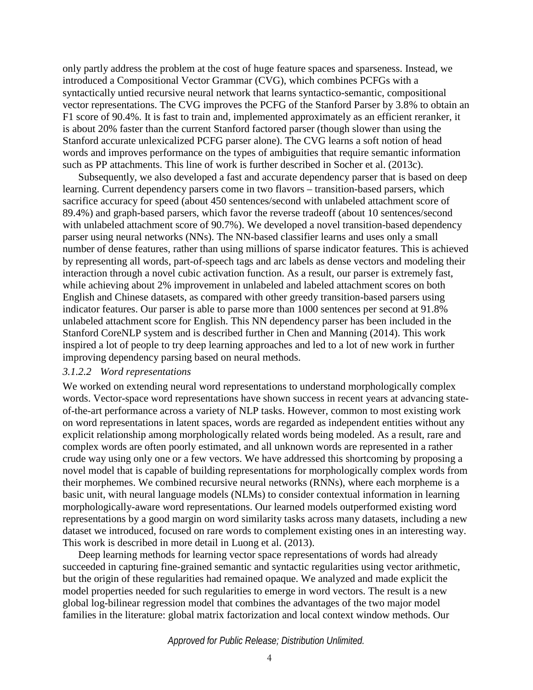only partly address the problem at the cost of huge feature spaces and sparseness. Instead, we introduced a Compositional Vector Grammar (CVG), which combines PCFGs with a syntactically untied recursive neural network that learns syntactico-semantic, compositional vector representations. The CVG improves the PCFG of the Stanford Parser by 3.8% to obtain an F1 score of 90.4%. It is fast to train and, implemented approximately as an efficient reranker, it is about 20% faster than the current Stanford factored parser (though slower than using the Stanford accurate unlexicalized PCFG parser alone). The CVG learns a soft notion of head words and improves performance on the types of ambiguities that require semantic information such as PP attachments. This line of work is further described in Socher et al. (2013c).

Subsequently, we also developed a fast and accurate dependency parser that is based on deep learning. Current dependency parsers come in two flavors – transition-based parsers, which sacrifice accuracy for speed (about 450 sentences/second with unlabeled attachment score of 89.4%) and graph-based parsers, which favor the reverse tradeoff (about 10 sentences/second with unlabeled attachment score of 90.7%). We developed a novel transition-based dependency parser using neural networks (NNs). The NN-based classifier learns and uses only a small number of dense features, rather than using millions of sparse indicator features. This is achieved by representing all words, part-of-speech tags and arc labels as dense vectors and modeling their interaction through a novel cubic activation function. As a result, our parser is extremely fast, while achieving about 2% improvement in unlabeled and labeled attachment scores on both English and Chinese datasets, as compared with other greedy transition-based parsers using indicator features. Our parser is able to parse more than 1000 sentences per second at 91.8% unlabeled attachment score for English. This NN dependency parser has been included in the Stanford CoreNLP system and is described further in Chen and Manning (2014). This work inspired a lot of people to try deep learning approaches and led to a lot of new work in further improving dependency parsing based on neural methods.

#### *3.1.2.2 Word representations*

We worked on extending neural word representations to understand morphologically complex words. Vector-space word representations have shown success in recent years at advancing stateof-the-art performance across a variety of NLP tasks. However, common to most existing work on word representations in latent spaces, words are regarded as independent entities without any explicit relationship among morphologically related words being modeled. As a result, rare and complex words are often poorly estimated, and all unknown words are represented in a rather crude way using only one or a few vectors. We have addressed this shortcoming by proposing a novel model that is capable of building representations for morphologically complex words from their morphemes. We combined recursive neural networks (RNNs), where each morpheme is a basic unit, with neural language models (NLMs) to consider contextual information in learning morphologically-aware word representations. Our learned models outperformed existing word representations by a good margin on word similarity tasks across many datasets, including a new dataset we introduced, focused on rare words to complement existing ones in an interesting way. This work is described in more detail in Luong et al. (2013).

Deep learning methods for learning vector space representations of words had already succeeded in capturing fine-grained semantic and syntactic regularities using vector arithmetic, but the origin of these regularities had remained opaque. We analyzed and made explicit the model properties needed for such regularities to emerge in word vectors. The result is a new global log-bilinear regression model that combines the advantages of the two major model families in the literature: global matrix factorization and local context window methods. Our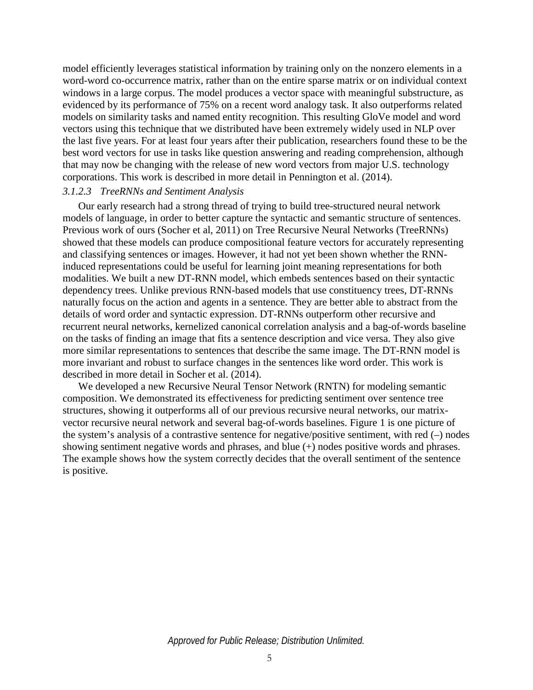model efficiently leverages statistical information by training only on the nonzero elements in a word-word co-occurrence matrix, rather than on the entire sparse matrix or on individual context windows in a large corpus. The model produces a vector space with meaningful substructure, as evidenced by its performance of 75% on a recent word analogy task. It also outperforms related models on similarity tasks and named entity recognition. This resulting GloVe model and word vectors using this technique that we distributed have been extremely widely used in NLP over the last five years. For at least four years after their publication, researchers found these to be the best word vectors for use in tasks like question answering and reading comprehension, although that may now be changing with the release of new word vectors from major U.S. technology corporations. This work is described in more detail in Pennington et al. (2014).

#### *3.1.2.3 TreeRNNs and Sentiment Analysis*

Our early research had a strong thread of trying to build tree-structured neural network models of language, in order to better capture the syntactic and semantic structure of sentences. Previous work of ours (Socher et al, 2011) on Tree Recursive Neural Networks (TreeRNNs) showed that these models can produce compositional feature vectors for accurately representing and classifying sentences or images. However, it had not yet been shown whether the RNNinduced representations could be useful for learning joint meaning representations for both modalities. We built a new DT-RNN model, which embeds sentences based on their syntactic dependency trees. Unlike previous RNN-based models that use constituency trees, DT-RNNs naturally focus on the action and agents in a sentence. They are better able to abstract from the details of word order and syntactic expression. DT-RNNs outperform other recursive and recurrent neural networks, kernelized canonical correlation analysis and a bag-of-words baseline on the tasks of finding an image that fits a sentence description and vice versa. They also give more similar representations to sentences that describe the same image. The DT-RNN model is more invariant and robust to surface changes in the sentences like word order. This work is described in more detail in Socher et al. (2014).

We developed a new Recursive Neural Tensor Network (RNTN) for modeling semantic composition. We demonstrated its effectiveness for predicting sentiment over sentence tree structures, showing it outperforms all of our previous recursive neural networks, our matrixvector recursive neural network and several bag-of-words baselines. [Figure 1](#page-11-0) is one picture of the system's analysis of a contrastive sentence for negative/positive sentiment, with red (–) nodes showing sentiment negative words and phrases, and blue (+) nodes positive words and phrases. The example shows how the system correctly decides that the overall sentiment of the sentence is positive.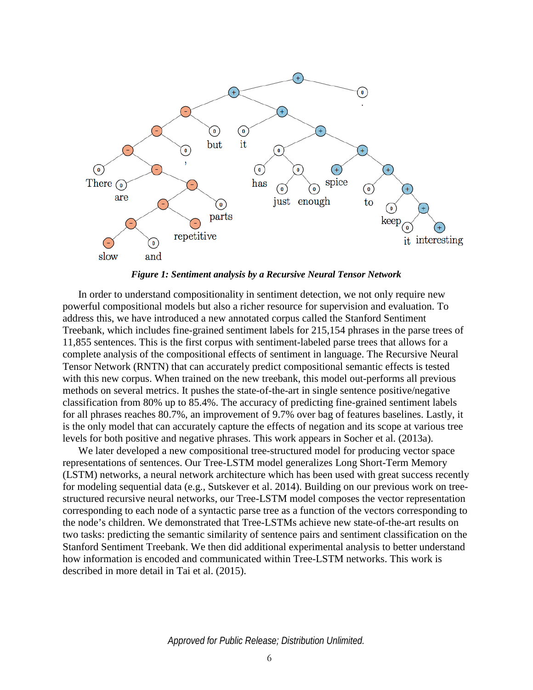

*Figure 1: Sentiment analysis by a Recursive Neural Tensor Network*

<span id="page-11-0"></span>In order to understand compositionality in sentiment detection, we not only require new powerful compositional models but also a richer resource for supervision and evaluation. To address this, we have introduced a new annotated corpus called the Stanford Sentiment Treebank, which includes fine-grained sentiment labels for 215,154 phrases in the parse trees of 11,855 sentences. This is the first corpus with sentiment-labeled parse trees that allows for a complete analysis of the compositional effects of sentiment in language. The Recursive Neural Tensor Network (RNTN) that can accurately predict compositional semantic effects is tested with this new corpus. When trained on the new treebank, this model out-performs all previous methods on several metrics. It pushes the state-of-the-art in single sentence positive/negative classification from 80% up to 85.4%. The accuracy of predicting fine-grained sentiment labels for all phrases reaches 80.7%, an improvement of 9.7% over bag of features baselines. Lastly, it is the only model that can accurately capture the effects of negation and its scope at various tree levels for both positive and negative phrases. This work appears in Socher et al. (2013a).

We later developed a new compositional tree-structured model for producing vector space representations of sentences. Our Tree-LSTM model generalizes Long Short-Term Memory (LSTM) networks, a neural network architecture which has been used with great success recently for modeling sequential data (e.g., Sutskever et al. 2014). Building on our previous work on treestructured recursive neural networks, our Tree-LSTM model composes the vector representation corresponding to each node of a syntactic parse tree as a function of the vectors corresponding to the node's children. We demonstrated that Tree-LSTMs achieve new state-of-the-art results on two tasks: predicting the semantic similarity of sentence pairs and sentiment classification on the Stanford Sentiment Treebank. We then did additional experimental analysis to better understand how information is encoded and communicated within Tree-LSTM networks. This work is described in more detail in Tai et al. (2015).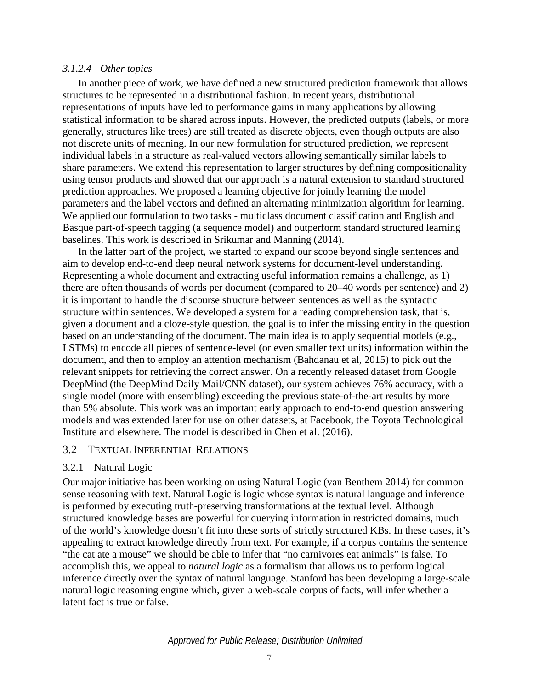#### *3.1.2.4 Other topics*

In another piece of work, we have defined a new structured prediction framework that allows structures to be represented in a distributional fashion. In recent years, distributional representations of inputs have led to performance gains in many applications by allowing statistical information to be shared across inputs. However, the predicted outputs (labels, or more generally, structures like trees) are still treated as discrete objects, even though outputs are also not discrete units of meaning. In our new formulation for structured prediction, we represent individual labels in a structure as real-valued vectors allowing semantically similar labels to share parameters. We extend this representation to larger structures by defining compositionality using tensor products and showed that our approach is a natural extension to standard structured prediction approaches. We proposed a learning objective for jointly learning the model parameters and the label vectors and defined an alternating minimization algorithm for learning. We applied our formulation to two tasks - multiclass document classification and English and Basque part-of-speech tagging (a sequence model) and outperform standard structured learning baselines. This work is described in Srikumar and Manning (2014).

In the latter part of the project, we started to expand our scope beyond single sentences and aim to develop end-to-end deep neural network systems for document-level understanding. Representing a whole document and extracting useful information remains a challenge, as 1) there are often thousands of words per document (compared to 20–40 words per sentence) and 2) it is important to handle the discourse structure between sentences as well as the syntactic structure within sentences. We developed a system for a reading comprehension task, that is, given a document and a cloze-style question, the goal is to infer the missing entity in the question based on an understanding of the document. The main idea is to apply sequential models (e.g., LSTMs) to encode all pieces of sentence-level (or even smaller text units) information within the document, and then to employ an attention mechanism (Bahdanau et al, 2015) to pick out the relevant snippets for retrieving the correct answer. On a recently released dataset from Google DeepMind (the DeepMind Daily Mail/CNN dataset), our system achieves 76% accuracy, with a single model (more with ensembling) exceeding the previous state-of-the-art results by more than 5% absolute. This work was an important early approach to end-to-end question answering models and was extended later for use on other datasets, at Facebook, the Toyota Technological Institute and elsewhere. The model is described in Chen et al. (2016).

#### 3.2 TEXTUAL INFERENTIAL RELATIONS

### 3.2.1 Natural Logic

Our major initiative has been working on using Natural Logic (van Benthem 2014) for common sense reasoning with text. Natural Logic is logic whose syntax is natural language and inference is performed by executing truth-preserving transformations at the textual level. Although structured knowledge bases are powerful for querying information in restricted domains, much of the world's knowledge doesn't fit into these sorts of strictly structured KBs. In these cases, it's appealing to extract knowledge directly from text. For example, if a corpus contains the sentence "the cat ate a mouse" we should be able to infer that "no carnivores eat animals" is false. To accomplish this, we appeal to *natural logic* as a formalism that allows us to perform logical inference directly over the syntax of natural language. Stanford has been developing a large-scale natural logic reasoning engine which, given a web-scale corpus of facts, will infer whether a latent fact is true or false.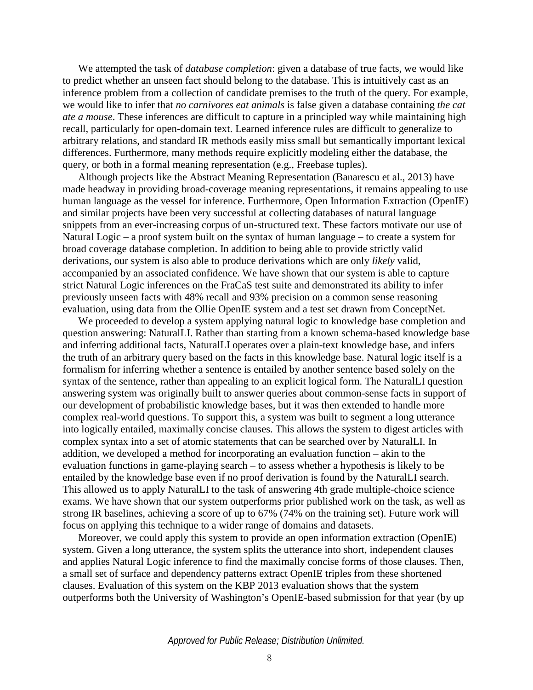We attempted the task of *database completion*: given a database of true facts, we would like to predict whether an unseen fact should belong to the database. This is intuitively cast as an inference problem from a collection of candidate premises to the truth of the query. For example, we would like to infer that *no carnivores eat animals* is false given a database containing *the cat ate a mouse*. These inferences are difficult to capture in a principled way while maintaining high recall, particularly for open-domain text. Learned inference rules are difficult to generalize to arbitrary relations, and standard IR methods easily miss small but semantically important lexical differences. Furthermore, many methods require explicitly modeling either the database, the query, or both in a formal meaning representation (e.g., Freebase tuples).

Although projects like the Abstract Meaning Representation (Banarescu et al., 2013) have made headway in providing broad-coverage meaning representations, it remains appealing to use human language as the vessel for inference. Furthermore, Open Information Extraction (OpenIE) and similar projects have been very successful at collecting databases of natural language snippets from an ever-increasing corpus of un-structured text. These factors motivate our use of Natural Logic – a proof system built on the syntax of human language – to create a system for broad coverage database completion. In addition to being able to provide strictly valid derivations, our system is also able to produce derivations which are only *likely* valid, accompanied by an associated confidence. We have shown that our system is able to capture strict Natural Logic inferences on the FraCaS test suite and demonstrated its ability to infer previously unseen facts with 48% recall and 93% precision on a common sense reasoning evaluation, using data from the Ollie OpenIE system and a test set drawn from ConceptNet.

We proceeded to develop a system applying natural logic to knowledge base completion and question answering: NaturalLI. Rather than starting from a known schema-based knowledge base and inferring additional facts, NaturalLI operates over a plain-text knowledge base, and infers the truth of an arbitrary query based on the facts in this knowledge base. Natural logic itself is a formalism for inferring whether a sentence is entailed by another sentence based solely on the syntax of the sentence, rather than appealing to an explicit logical form. The NaturalLI question answering system was originally built to answer queries about common-sense facts in support of our development of probabilistic knowledge bases, but it was then extended to handle more complex real-world questions. To support this, a system was built to segment a long utterance into logically entailed, maximally concise clauses. This allows the system to digest articles with complex syntax into a set of atomic statements that can be searched over by NaturalLI. In addition, we developed a method for incorporating an evaluation function – akin to the evaluation functions in game-playing search – to assess whether a hypothesis is likely to be entailed by the knowledge base even if no proof derivation is found by the NaturalLI search. This allowed us to apply NaturalLI to the task of answering 4th grade multiple-choice science exams. We have shown that our system outperforms prior published work on the task, as well as strong IR baselines, achieving a score of up to 67% (74% on the training set). Future work will focus on applying this technique to a wider range of domains and datasets.

Moreover, we could apply this system to provide an open information extraction (OpenIE) system. Given a long utterance, the system splits the utterance into short, independent clauses and applies Natural Logic inference to find the maximally concise forms of those clauses. Then, a small set of surface and dependency patterns extract OpenIE triples from these shortened clauses. Evaluation of this system on the KBP 2013 evaluation shows that the system outperforms both the University of Washington's OpenIE-based submission for that year (by up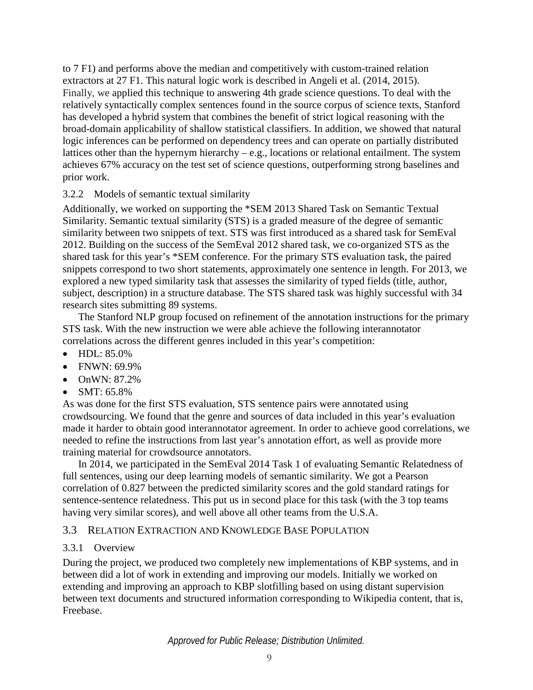to 7 F1) and performs above the median and competitively with custom-trained relation extractors at 27 F1. This natural logic work is described in Angeli et al. (2014, 2015). Finally, we applied this technique to answering 4th grade science questions. To deal with the relatively syntactically complex sentences found in the source corpus of science texts, Stanford has developed a hybrid system that combines the benefit of strict logical reasoning with the broad-domain applicability of shallow statistical classifiers. In addition, we showed that natural logic inferences can be performed on dependency trees and can operate on partially distributed lattices other than the hypernym hierarchy – e.g., locations or relational entailment. The system achieves 67% accuracy on the test set of science questions, outperforming strong baselines and prior work.

## 3.2.2 Models of semantic textual similarity

Additionally, we worked on supporting the \*SEM 2013 Shared Task on Semantic Textual Similarity. Semantic textual similarity (STS) is a graded measure of the degree of semantic similarity between two snippets of text. STS was first introduced as a shared task for SemEval 2012. Building on the success of the SemEval 2012 shared task, we co-organized STS as the shared task for this year's \*SEM conference. For the primary STS evaluation task, the paired snippets correspond to two short statements, approximately one sentence in length. For 2013, we explored a new typed similarity task that assesses the similarity of typed fields (title, author, subject, description) in a structure database. The STS shared task was highly successful with 34 research sites submitting 89 systems.

The Stanford NLP group focused on refinement of the annotation instructions for the primary STS task. With the new instruction we were able achieve the following interannotator correlations across the different genres included in this year's competition:

- HDL: 85.0%
- $\bullet$  FNWN: 69.9%
- OnWN: 87.2%
- SMT: 65.8%

As was done for the first STS evaluation, STS sentence pairs were annotated using crowdsourcing. We found that the genre and sources of data included in this year's evaluation made it harder to obtain good interannotator agreement. In order to achieve good correlations, we needed to refine the instructions from last year's annotation effort, as well as provide more training material for crowdsource annotators.

In 2014, we participated in the SemEval 2014 Task 1 of evaluating Semantic Relatedness of full sentences, using our deep learning models of semantic similarity. We got a Pearson correlation of 0.827 between the predicted similarity scores and the gold standard ratings for sentence-sentence relatedness. This put us in second place for this task (with the 3 top teams having very similar scores), and well above all other teams from the U.S.A.

# 3.3 RELATION EXTRACTION AND KNOWLEDGE BASE POPULATION

# 3.3.1 Overview

During the project, we produced two completely new implementations of KBP systems, and in between did a lot of work in extending and improving our models. Initially we worked on extending and improving an approach to KBP slotfilling based on using distant supervision between text documents and structured information corresponding to Wikipedia content, that is, Freebase.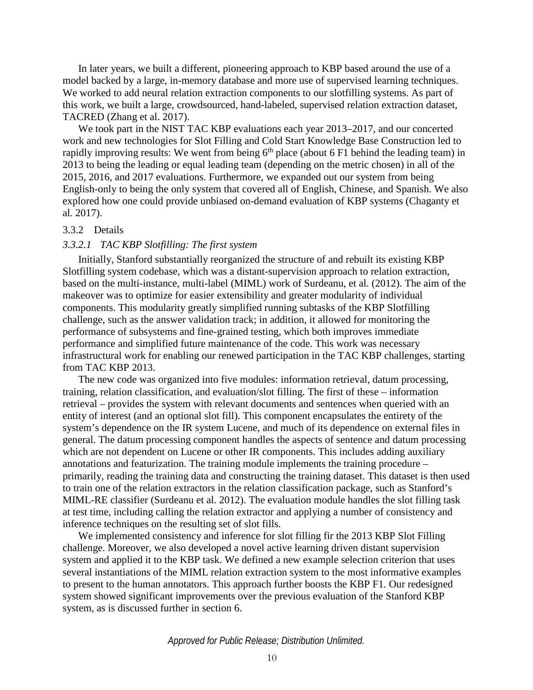In later years, we built a different, pioneering approach to KBP based around the use of a model backed by a large, in-memory database and more use of supervised learning techniques. We worked to add neural relation extraction components to our slotfilling systems. As part of this work, we built a large, crowdsourced, hand-labeled, supervised relation extraction dataset, TACRED (Zhang et al. 2017).

We took part in the NIST TAC KBP evaluations each year 2013–2017, and our concerted work and new technologies for Slot Filling and Cold Start Knowledge Base Construction led to rapidly improving results: We went from being  $6<sup>th</sup>$  place (about 6 F1 behind the leading team) in 2013 to being the leading or equal leading team (depending on the metric chosen) in all of the 2015, 2016, and 2017 evaluations. Furthermore, we expanded out our system from being English-only to being the only system that covered all of English, Chinese, and Spanish. We also explored how one could provide unbiased on-demand evaluation of KBP systems (Chaganty et al. 2017).

#### 3.3.2 Details

#### *3.3.2.1 TAC KBP Slotfilling: The first system*

Initially, Stanford substantially reorganized the structure of and rebuilt its existing KBP Slotfilling system codebase, which was a distant-supervision approach to relation extraction, based on the multi-instance, multi-label (MIML) work of Surdeanu, et al. (2012). The aim of the makeover was to optimize for easier extensibility and greater modularity of individual components. This modularity greatly simplified running subtasks of the KBP Slotfilling challenge, such as the answer validation track; in addition, it allowed for monitoring the performance of subsystems and fine-grained testing, which both improves immediate performance and simplified future maintenance of the code. This work was necessary infrastructural work for enabling our renewed participation in the TAC KBP challenges, starting from TAC KBP 2013.

The new code was organized into five modules: information retrieval, datum processing, training, relation classification, and evaluation/slot filling. The first of these – information retrieval – provides the system with relevant documents and sentences when queried with an entity of interest (and an optional slot fill). This component encapsulates the entirety of the system's dependence on the IR system Lucene, and much of its dependence on external files in general. The datum processing component handles the aspects of sentence and datum processing which are not dependent on Lucene or other IR components. This includes adding auxiliary annotations and featurization. The training module implements the training procedure – primarily, reading the training data and constructing the training dataset. This dataset is then used to train one of the relation extractors in the relation classification package, such as Stanford's MIML-RE classifier (Surdeanu et al. 2012). The evaluation module handles the slot filling task at test time, including calling the relation extractor and applying a number of consistency and inference techniques on the resulting set of slot fills.

We implemented consistency and inference for slot filling fir the 2013 KBP Slot Filling challenge. Moreover, we also developed a novel active learning driven distant supervision system and applied it to the KBP task. We defined a new example selection criterion that uses several instantiations of the MIML relation extraction system to the most informative examples to present to the human annotators. This approach further boosts the KBP F1. Our redesigned system showed significant improvements over the previous evaluation of the Stanford KBP system, as is discussed further in section [6.](#page-8-0)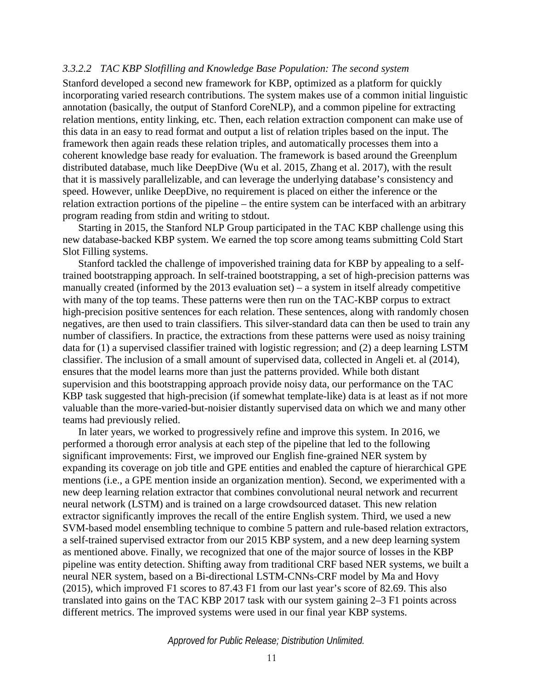#### *3.3.2.2 TAC KBP Slotfilling and Knowledge Base Population: The second system*

Stanford developed a second new framework for KBP, optimized as a platform for quickly incorporating varied research contributions. The system makes use of a common initial linguistic annotation (basically, the output of Stanford CoreNLP), and a common pipeline for extracting relation mentions, entity linking, etc. Then, each relation extraction component can make use of this data in an easy to read format and output a list of relation triples based on the input. The framework then again reads these relation triples, and automatically processes them into a coherent knowledge base ready for evaluation. The framework is based around the Greenplum distributed database, much like DeepDive (Wu et al. 2015, Zhang et al. 2017), with the result that it is massively parallelizable, and can leverage the underlying database's consistency and speed. However, unlike DeepDive, no requirement is placed on either the inference or the relation extraction portions of the pipeline – the entire system can be interfaced with an arbitrary program reading from stdin and writing to stdout.

Starting in 2015, the Stanford NLP Group participated in the TAC KBP challenge using this new database-backed KBP system. We earned the top score among teams submitting Cold Start Slot Filling systems.

Stanford tackled the challenge of impoverished training data for KBP by appealing to a selftrained bootstrapping approach. In self-trained bootstrapping, a set of high-precision patterns was manually created (informed by the  $2013$  evaluation set) – a system in itself already competitive with many of the top teams. These patterns were then run on the TAC-KBP corpus to extract high-precision positive sentences for each relation. These sentences, along with randomly chosen negatives, are then used to train classifiers. This silver-standard data can then be used to train any number of classifiers. In practice, the extractions from these patterns were used as noisy training data for (1) a supervised classifier trained with logistic regression; and (2) a deep learning LSTM classifier. The inclusion of a small amount of supervised data, collected in Angeli et. al (2014), ensures that the model learns more than just the patterns provided. While both distant supervision and this bootstrapping approach provide noisy data, our performance on the TAC KBP task suggested that high-precision (if somewhat template-like) data is at least as if not more valuable than the more-varied-but-noisier distantly supervised data on which we and many other teams had previously relied.

In later years, we worked to progressively refine and improve this system. In 2016, we performed a thorough error analysis at each step of the pipeline that led to the following significant improvements: First, we improved our English fine-grained NER system by expanding its coverage on job title and GPE entities and enabled the capture of hierarchical GPE mentions (i.e., a GPE mention inside an organization mention). Second, we experimented with a new deep learning relation extractor that combines convolutional neural network and recurrent neural network (LSTM) and is trained on a large crowdsourced dataset. This new relation extractor significantly improves the recall of the entire English system. Third, we used a new SVM-based model ensembling technique to combine 5 pattern and rule-based relation extractors, a self-trained supervised extractor from our 2015 KBP system, and a new deep learning system as mentioned above. Finally, we recognized that one of the major source of losses in the KBP pipeline was entity detection. Shifting away from traditional CRF based NER systems, we built a neural NER system, based on a Bi-directional LSTM-CNNs-CRF model by Ma and Hovy (2015), which improved F1 scores to 87.43 F1 from our last year's score of 82.69. This also translated into gains on the TAC KBP 2017 task with our system gaining 2–3 F1 points across different metrics. The improved systems were used in our final year KBP systems.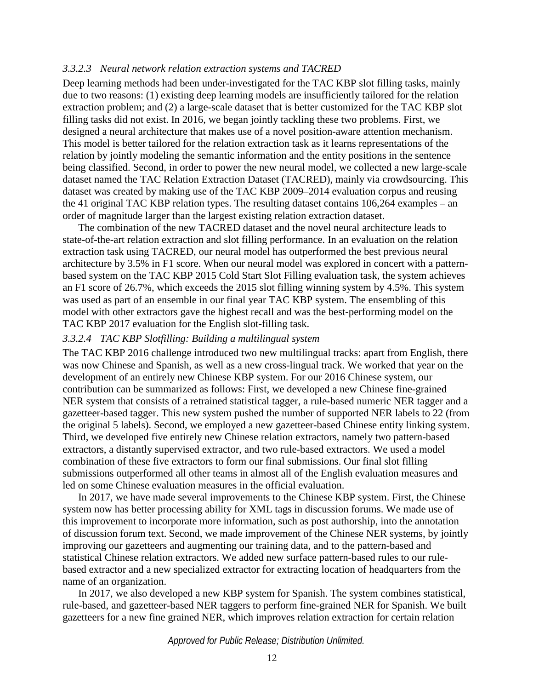#### *3.3.2.3 Neural network relation extraction systems and TACRED*

Deep learning methods had been under-investigated for the TAC KBP slot filling tasks, mainly due to two reasons: (1) existing deep learning models are insufficiently tailored for the relation extraction problem; and (2) a large-scale dataset that is better customized for the TAC KBP slot filling tasks did not exist. In 2016, we began jointly tackling these two problems. First, we designed a neural architecture that makes use of a novel position-aware attention mechanism. This model is better tailored for the relation extraction task as it learns representations of the relation by jointly modeling the semantic information and the entity positions in the sentence being classified. Second, in order to power the new neural model, we collected a new large-scale dataset named the TAC Relation Extraction Dataset (TACRED), mainly via crowdsourcing. This dataset was created by making use of the TAC KBP 2009–2014 evaluation corpus and reusing the 41 original TAC KBP relation types. The resulting dataset contains 106,264 examples – an order of magnitude larger than the largest existing relation extraction dataset.

The combination of the new TACRED dataset and the novel neural architecture leads to state-of-the-art relation extraction and slot filling performance. In an evaluation on the relation extraction task using TACRED, our neural model has outperformed the best previous neural architecture by 3.5% in F1 score. When our neural model was explored in concert with a patternbased system on the TAC KBP 2015 Cold Start Slot Filling evaluation task, the system achieves an F1 score of 26.7%, which exceeds the 2015 slot filling winning system by 4.5%. This system was used as part of an ensemble in our final year TAC KBP system. The ensembling of this model with other extractors gave the highest recall and was the best-performing model on the TAC KBP 2017 evaluation for the English slot-filling task.

#### *3.3.2.4 TAC KBP Slotfilling: Building a multilingual system*

The TAC KBP 2016 challenge introduced two new multilingual tracks: apart from English, there was now Chinese and Spanish, as well as a new cross-lingual track. We worked that year on the development of an entirely new Chinese KBP system. For our 2016 Chinese system, our contribution can be summarized as follows: First, we developed a new Chinese fine-grained NER system that consists of a retrained statistical tagger, a rule-based numeric NER tagger and a gazetteer-based tagger. This new system pushed the number of supported NER labels to 22 (from the original 5 labels). Second, we employed a new gazetteer-based Chinese entity linking system. Third, we developed five entirely new Chinese relation extractors, namely two pattern-based extractors, a distantly supervised extractor, and two rule-based extractors. We used a model combination of these five extractors to form our final submissions. Our final slot filling submissions outperformed all other teams in almost all of the English evaluation measures and led on some Chinese evaluation measures in the official evaluation.

In 2017, we have made several improvements to the Chinese KBP system. First, the Chinese system now has better processing ability for XML tags in discussion forums. We made use of this improvement to incorporate more information, such as post authorship, into the annotation of discussion forum text. Second, we made improvement of the Chinese NER systems, by jointly improving our gazetteers and augmenting our training data, and to the pattern-based and statistical Chinese relation extractors. We added new surface pattern-based rules to our rulebased extractor and a new specialized extractor for extracting location of headquarters from the name of an organization.

In 2017, we also developed a new KBP system for Spanish. The system combines statistical, rule-based, and gazetteer-based NER taggers to perform fine-grained NER for Spanish. We built gazetteers for a new fine grained NER, which improves relation extraction for certain relation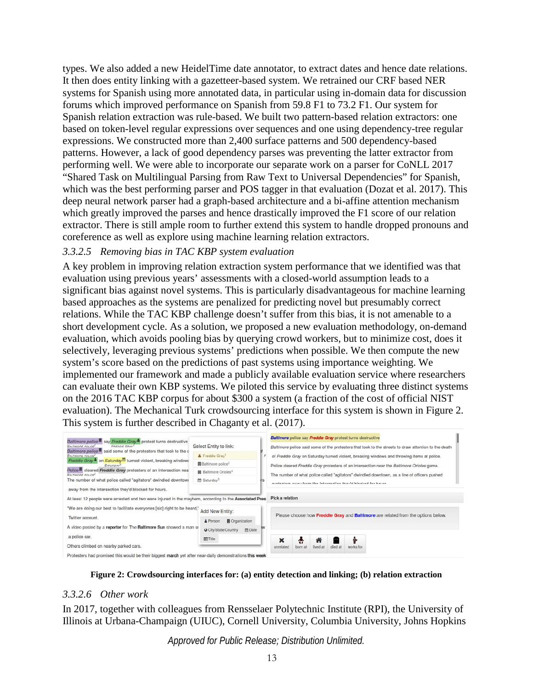types. We also added a new HeidelTime date annotator, to extract dates and hence date relations. It then does entity linking with a gazetteer-based system. We retrained our CRF based NER systems for Spanish using more annotated data, in particular using in-domain data for discussion forums which improved performance on Spanish from 59.8 F1 to 73.2 F1. Our system for Spanish relation extraction was rule-based. We built two pattern-based relation extractors: one based on token-level regular expressions over sequences and one using dependency-tree regular expressions. We constructed more than 2,400 surface patterns and 500 dependency-based patterns. However, a lack of good dependency parses was preventing the latter extractor from performing well. We were able to incorporate our separate work on a parser for CoNLL 2017 "Shared Task on Multilingual Parsing from Raw Text to Universal Dependencies" for Spanish, which was the best performing parser and POS tagger in that evaluation (Dozat et al. 2017). This deep neural network parser had a graph-based architecture and a bi-affine attention mechanism which greatly improved the parses and hence drastically improved the F1 score of our relation extractor. There is still ample room to further extend this system to handle dropped pronouns and coreference as well as explore using machine learning relation extractors.

## *3.3.2.5 Removing bias in TAC KBP system evaluation*

A key problem in improving relation extraction system performance that we identified was that evaluation using previous years' assessments with a closed-world assumption leads to a significant bias against novel systems. This is particularly disadvantageous for machine learning based approaches as the systems are penalized for predicting novel but presumably correct relations. While the TAC KBP challenge doesn't suffer from this bias, it is not amenable to a short development cycle. As a solution, we proposed a new evaluation methodology, on-demand evaluation, which avoids pooling bias by querying crowd workers, but to minimize cost, does it selectively, leveraging previous systems' predictions when possible. We then compute the new system's score based on the predictions of past systems using importance weighting. We implemented our framework and made a publicly available evaluation service where researchers can evaluate their own KBP systems. We piloted this service by evaluating three distinct systems on the 2016 TAC KBP corpus for about \$300 a system (a fraction of the cost of official NIST evaluation). The Mechanical Turk crowdsourcing interface for this system is shown in [Figure 2.](#page-18-0) This system is further described in Chaganty et al. (2017).

**Figure 2: Crowdsourcing interfaces for: (a) entity detection and linking; (b) relation extraction**

## <span id="page-18-0"></span>*3.3.2.6 Other work*

In 2017, together with colleagues from Rensselaer Polytechnic Institute (RPI), the University of Illinois at Urbana-Champaign (UIUC), Cornell University, Columbia University, Johns Hopkins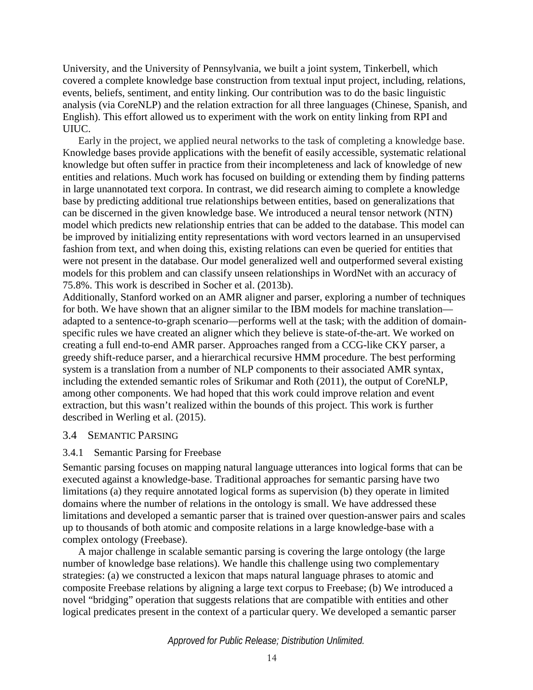University, and the University of Pennsylvania, we built a joint system, Tinkerbell, which covered a complete knowledge base construction from textual input project, including, relations, events, beliefs, sentiment, and entity linking. Our contribution was to do the basic linguistic analysis (via CoreNLP) and the relation extraction for all three languages (Chinese, Spanish, and English). This effort allowed us to experiment with the work on entity linking from RPI and UIUC.

Early in the project, we applied neural networks to the task of completing a knowledge base. Knowledge bases provide applications with the benefit of easily accessible, systematic relational knowledge but often suffer in practice from their incompleteness and lack of knowledge of new entities and relations. Much work has focused on building or extending them by finding patterns in large unannotated text corpora. In contrast, we did research aiming to complete a knowledge base by predicting additional true relationships between entities, based on generalizations that can be discerned in the given knowledge base. We introduced a neural tensor network (NTN) model which predicts new relationship entries that can be added to the database. This model can be improved by initializing entity representations with word vectors learned in an unsupervised fashion from text, and when doing this, existing relations can even be queried for entities that were not present in the database. Our model generalized well and outperformed several existing models for this problem and can classify unseen relationships in WordNet with an accuracy of 75.8%. This work is described in Socher et al. (2013b).

Additionally, Stanford worked on an AMR aligner and parser, exploring a number of techniques for both. We have shown that an aligner similar to the IBM models for machine translation adapted to a sentence-to-graph scenario—performs well at the task; with the addition of domainspecific rules we have created an aligner which they believe is state-of-the-art. We worked on creating a full end-to-end AMR parser. Approaches ranged from a CCG-like CKY parser, a greedy shift-reduce parser, and a hierarchical recursive HMM procedure. The best performing system is a translation from a number of NLP components to their associated AMR syntax, including the extended semantic roles of Srikumar and Roth (2011), the output of CoreNLP, among other components. We had hoped that this work could improve relation and event extraction, but this wasn't realized within the bounds of this project. This work is further described in Werling et al. (2015).

### 3.4 SEMANTIC PARSING

### 3.4.1 Semantic Parsing for Freebase

Semantic parsing focuses on mapping natural language utterances into logical forms that can be executed against a knowledge-base. Traditional approaches for semantic parsing have two limitations (a) they require annotated logical forms as supervision (b) they operate in limited domains where the number of relations in the ontology is small. We have addressed these limitations and developed a semantic parser that is trained over question-answer pairs and scales up to thousands of both atomic and composite relations in a large knowledge-base with a complex ontology (Freebase).

A major challenge in scalable semantic parsing is covering the large ontology (the large number of knowledge base relations). We handle this challenge using two complementary strategies: (a) we constructed a lexicon that maps natural language phrases to atomic and composite Freebase relations by aligning a large text corpus to Freebase; (b) We introduced a novel "bridging" operation that suggests relations that are compatible with entities and other logical predicates present in the context of a particular query. We developed a semantic parser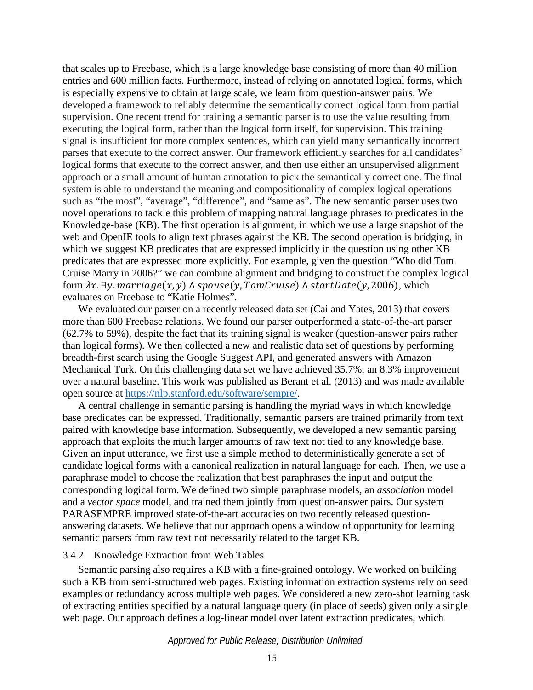that scales up to Freebase, which is a large knowledge base consisting of more than 40 million entries and 600 million facts. Furthermore, instead of relying on annotated logical forms, which is especially expensive to obtain at large scale, we learn from question-answer pairs. We developed a framework to reliably determine the semantically correct logical form from partial supervision. One recent trend for training a semantic parser is to use the value resulting from executing the logical form, rather than the logical form itself, for supervision. This training signal is insufficient for more complex sentences, which can yield many semantically incorrect parses that execute to the correct answer. Our framework efficiently searches for all candidates' logical forms that execute to the correct answer, and then use either an unsupervised alignment approach or a small amount of human annotation to pick the semantically correct one. The final system is able to understand the meaning and compositionality of complex logical operations such as "the most", "average", "difference", and "same as". The new semantic parser uses two novel operations to tackle this problem of mapping natural language phrases to predicates in the Knowledge-base (KB). The first operation is alignment, in which we use a large snapshot of the web and OpenIE tools to align text phrases against the KB. The second operation is bridging, in which we suggest KB predicates that are expressed implicitly in the question using other KB predicates that are expressed more explicitly. For example, given the question "Who did Tom Cruise Marry in 2006?" we can combine alignment and bridging to construct the complex logical form  $\lambda x. \exists y.$  marriage $(x, y)$   $\wedge$  spouse $(y, TomCruise)$   $\wedge$  startDate $(y, 2006)$ , which evaluates on Freebase to "Katie Holmes".

We evaluated our parser on a recently released data set (Cai and Yates, 2013) that covers more than 600 Freebase relations. We found our parser outperformed a state-of-the-art parser (62.7% to 59%), despite the fact that its training signal is weaker (question-answer pairs rather than logical forms). We then collected a new and realistic data set of questions by performing breadth-first search using the Google Suggest API, and generated answers with Amazon Mechanical Turk. On this challenging data set we have achieved 35.7%, an 8.3% improvement over a natural baseline. This work was published as Berant et al. (2013) and was made available open source at [https://nlp.stanford.edu/software/sempre/.](https://nlp.stanford.edu/software/sempre/)

A central challenge in semantic parsing is handling the myriad ways in which knowledge base predicates can be expressed. Traditionally, semantic parsers are trained primarily from text paired with knowledge base information. Subsequently, we developed a new semantic parsing approach that exploits the much larger amounts of raw text not tied to any knowledge base. Given an input utterance, we first use a simple method to deterministically generate a set of candidate logical forms with a canonical realization in natural language for each. Then, we use a paraphrase model to choose the realization that best paraphrases the input and output the corresponding logical form. We defined two simple paraphrase models, an *association* model and a *vector space* model, and trained them jointly from question-answer pairs. Our system PARASEMPRE improved state-of-the-art accuracies on two recently released questionanswering datasets. We believe that our approach opens a window of opportunity for learning semantic parsers from raw text not necessarily related to the target KB.

#### 3.4.2 Knowledge Extraction from Web Tables

Semantic parsing also requires a KB with a fine-grained ontology. We worked on building such a KB from semi-structured web pages. Existing information extraction systems rely on seed examples or redundancy across multiple web pages. We considered a new zero-shot learning task of extracting entities specified by a natural language query (in place of seeds) given only a single web page. Our approach defines a log-linear model over latent extraction predicates, which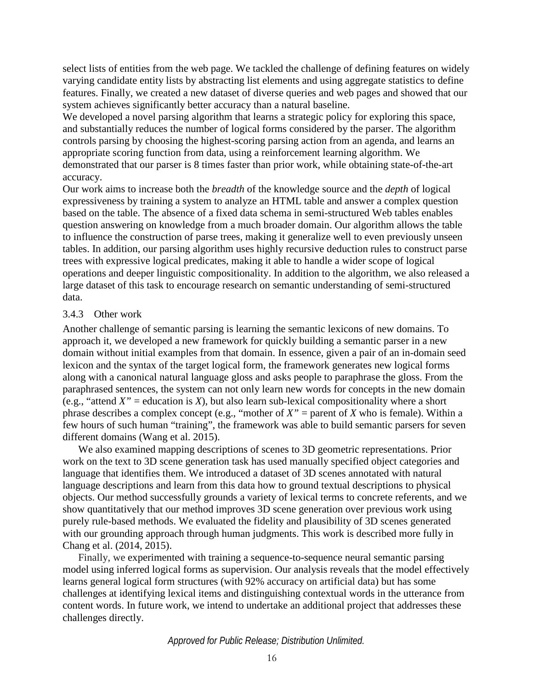select lists of entities from the web page. We tackled the challenge of defining features on widely varying candidate entity lists by abstracting list elements and using aggregate statistics to define features. Finally, we created a new dataset of diverse queries and web pages and showed that our system achieves significantly better accuracy than a natural baseline.

We developed a novel parsing algorithm that learns a strategic policy for exploring this space, and substantially reduces the number of logical forms considered by the parser. The algorithm controls parsing by choosing the highest-scoring parsing action from an agenda, and learns an appropriate scoring function from data, using a reinforcement learning algorithm. We demonstrated that our parser is 8 times faster than prior work, while obtaining state-of-the-art accuracy.

Our work aims to increase both the *breadth* of the knowledge source and the *depth* of logical expressiveness by training a system to analyze an HTML table and answer a complex question based on the table. The absence of a fixed data schema in semi-structured Web tables enables question answering on knowledge from a much broader domain. Our algorithm allows the table to influence the construction of parse trees, making it generalize well to even previously unseen tables. In addition, our parsing algorithm uses highly recursive deduction rules to construct parse trees with expressive logical predicates, making it able to handle a wider scope of logical operations and deeper linguistic compositionality. In addition to the algorithm, we also released a large dataset of this task to encourage research on semantic understanding of semi-structured data.

### 3.4.3 Other work

Another challenge of semantic parsing is learning the semantic lexicons of new domains. To approach it, we developed a new framework for quickly building a semantic parser in a new domain without initial examples from that domain. In essence, given a pair of an in-domain seed lexicon and the syntax of the target logical form, the framework generates new logical forms along with a canonical natural language gloss and asks people to paraphrase the gloss. From the paraphrased sentences, the system can not only learn new words for concepts in the new domain (e.g., "attend  $X''$  = education is  $X$ ), but also learn sub-lexical compositionality where a short phrase describes a complex concept (e.g., "mother of *X"* = parent of *X* who is female). Within a few hours of such human "training", the framework was able to build semantic parsers for seven different domains (Wang et al. 2015).

We also examined mapping descriptions of scenes to 3D geometric representations. Prior work on the text to 3D scene generation task has used manually specified object categories and language that identifies them. We introduced a dataset of 3D scenes annotated with natural language descriptions and learn from this data how to ground textual descriptions to physical objects. Our method successfully grounds a variety of lexical terms to concrete referents, and we show quantitatively that our method improves 3D scene generation over previous work using purely rule-based methods. We evaluated the fidelity and plausibility of 3D scenes generated with our grounding approach through human judgments. This work is described more fully in Chang et al. (2014, 2015).

Finally, we experimented with training a sequence-to-sequence neural semantic parsing model using inferred logical forms as supervision. Our analysis reveals that the model effectively learns general logical form structures (with 92% accuracy on artificial data) but has some challenges at identifying lexical items and distinguishing contextual words in the utterance from content words. In future work, we intend to undertake an additional project that addresses these challenges directly.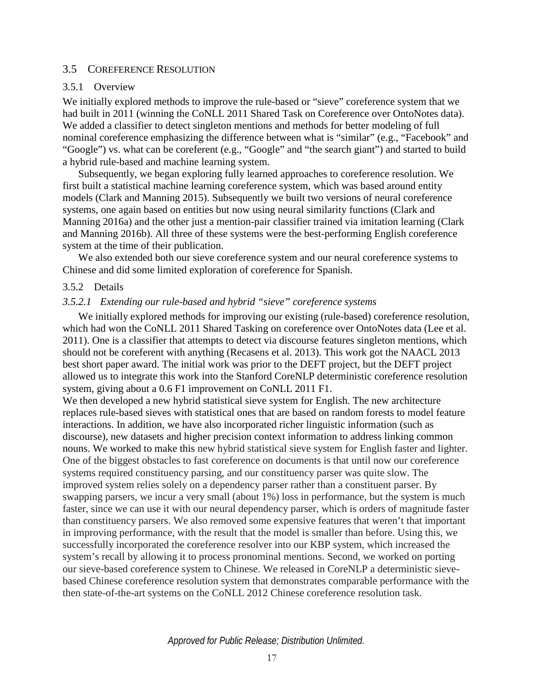#### 3.5 COREFERENCE RESOLUTION

#### 3.5.1 Overview

We initially explored methods to improve the rule-based or "sieve" coreference system that we had built in 2011 (winning the CoNLL 2011 Shared Task on Coreference over OntoNotes data). We added a classifier to detect singleton mentions and methods for better modeling of full nominal coreference emphasizing the difference between what is "similar" (e.g., "Facebook" and "Google") vs. what can be coreferent (e.g., "Google" and "the search giant") and started to build a hybrid rule-based and machine learning system.

Subsequently, we began exploring fully learned approaches to coreference resolution. We first built a statistical machine learning coreference system, which was based around entity models (Clark and Manning 2015). Subsequently we built two versions of neural coreference systems, one again based on entities but now using neural similarity functions (Clark and Manning 2016a) and the other just a mention-pair classifier trained via imitation learning (Clark and Manning 2016b). All three of these systems were the best-performing English coreference system at the time of their publication.

We also extended both our sieve coreference system and our neural coreference systems to Chinese and did some limited exploration of coreference for Spanish.

#### 3.5.2 Details

#### *3.5.2.1 Extending our rule-based and hybrid "sieve" coreference systems*

We initially explored methods for improving our existing (rule-based) coreference resolution, which had won the CoNLL 2011 Shared Tasking on coreference over OntoNotes data (Lee et al. 2011). One is a classifier that attempts to detect via discourse features singleton mentions, which should not be coreferent with anything (Recasens et al. 2013). This work got the NAACL 2013 best short paper award. The initial work was prior to the DEFT project, but the DEFT project allowed us to integrate this work into the Stanford CoreNLP deterministic coreference resolution system, giving about a 0.6 F1 improvement on CoNLL 2011 F1.

We then developed a new hybrid statistical sieve system for English. The new architecture replaces rule-based sieves with statistical ones that are based on random forests to model feature interactions. In addition, we have also incorporated richer linguistic information (such as discourse), new datasets and higher precision context information to address linking common nouns. We worked to make this new hybrid statistical sieve system for English faster and lighter. One of the biggest obstacles to fast coreference on documents is that until now our coreference systems required constituency parsing, and our constituency parser was quite slow. The improved system relies solely on a dependency parser rather than a constituent parser. By swapping parsers, we incur a very small (about 1%) loss in performance, but the system is much faster, since we can use it with our neural dependency parser, which is orders of magnitude faster than constituency parsers. We also removed some expensive features that weren't that important in improving performance, with the result that the model is smaller than before. Using this, we successfully incorporated the coreference resolver into our KBP system, which increased the system's recall by allowing it to process pronominal mentions. Second, we worked on porting our sieve-based coreference system to Chinese. We released in CoreNLP a deterministic sievebased Chinese coreference resolution system that demonstrates comparable performance with the then state-of-the-art systems on the CoNLL 2012 Chinese coreference resolution task.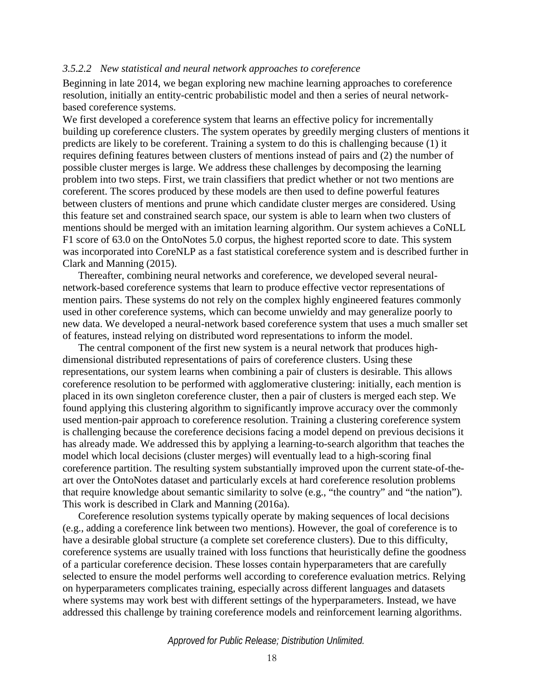#### *3.5.2.2 New statistical and neural network approaches to coreference*

Beginning in late 2014, we began exploring new machine learning approaches to coreference resolution, initially an entity-centric probabilistic model and then a series of neural networkbased coreference systems.

We first developed a coreference system that learns an effective policy for incrementally building up coreference clusters. The system operates by greedily merging clusters of mentions it predicts are likely to be coreferent. Training a system to do this is challenging because (1) it requires defining features between clusters of mentions instead of pairs and (2) the number of possible cluster merges is large. We address these challenges by decomposing the learning problem into two steps. First, we train classifiers that predict whether or not two mentions are coreferent. The scores produced by these models are then used to define powerful features between clusters of mentions and prune which candidate cluster merges are considered. Using this feature set and constrained search space, our system is able to learn when two clusters of mentions should be merged with an imitation learning algorithm. Our system achieves a CoNLL F1 score of 63.0 on the OntoNotes 5.0 corpus, the highest reported score to date. This system was incorporated into CoreNLP as a fast statistical coreference system and is described further in Clark and Manning (2015).

Thereafter, combining neural networks and coreference, we developed several neuralnetwork-based coreference systems that learn to produce effective vector representations of mention pairs. These systems do not rely on the complex highly engineered features commonly used in other coreference systems, which can become unwieldy and may generalize poorly to new data. We developed a neural-network based coreference system that uses a much smaller set of features, instead relying on distributed word representations to inform the model.

The central component of the first new system is a neural network that produces highdimensional distributed representations of pairs of coreference clusters. Using these representations, our system learns when combining a pair of clusters is desirable. This allows coreference resolution to be performed with agglomerative clustering: initially, each mention is placed in its own singleton coreference cluster, then a pair of clusters is merged each step. We found applying this clustering algorithm to significantly improve accuracy over the commonly used mention-pair approach to coreference resolution. Training a clustering coreference system is challenging because the coreference decisions facing a model depend on previous decisions it has already made. We addressed this by applying a learning-to-search algorithm that teaches the model which local decisions (cluster merges) will eventually lead to a high-scoring final coreference partition. The resulting system substantially improved upon the current state-of-theart over the OntoNotes dataset and particularly excels at hard coreference resolution problems that require knowledge about semantic similarity to solve (e.g., "the country" and "the nation"). This work is described in Clark and Manning (2016a).

Coreference resolution systems typically operate by making sequences of local decisions (e.g., adding a coreference link between two mentions). However, the goal of coreference is to have a desirable global structure (a complete set coreference clusters). Due to this difficulty, coreference systems are usually trained with loss functions that heuristically define the goodness of a particular coreference decision. These losses contain hyperparameters that are carefully selected to ensure the model performs well according to coreference evaluation metrics. Relying on hyperparameters complicates training, especially across different languages and datasets where systems may work best with different settings of the hyperparameters. Instead, we have addressed this challenge by training coreference models and reinforcement learning algorithms.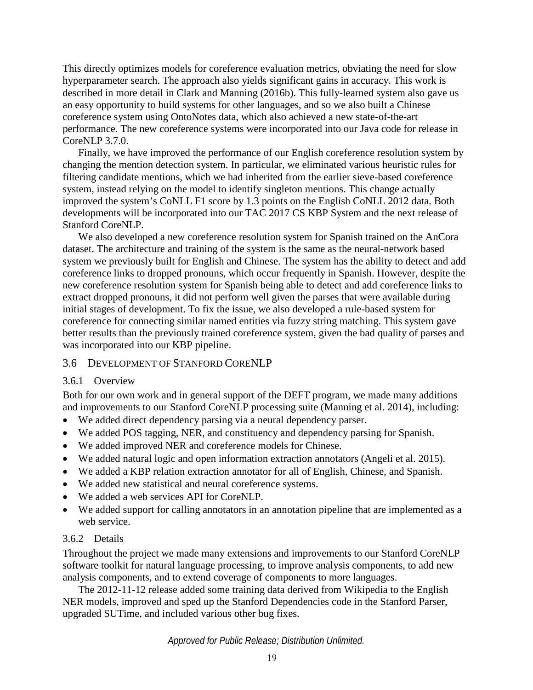This directly optimizes models for coreference evaluation metrics, obviating the need for slow hyperparameter search. The approach also yields significant gains in accuracy. This work is described in more detail in Clark and Manning (2016b). This fully-learned system also gave us an easy opportunity to build systems for other languages, and so we also built a Chinese coreference system using OntoNotes data, which also achieved a new state-of-the-art performance. The new coreference systems were incorporated into our Java code for release in CoreNLP 3.7.0.

Finally, we have improved the performance of our English coreference resolution system by changing the mention detection system. In particular, we eliminated various heuristic rules for filtering candidate mentions, which we had inherited from the earlier sieve-based coreference system, instead relying on the model to identify singleton mentions. This change actually improved the system's CoNLL F1 score by 1.3 points on the English CoNLL 2012 data. Both developments will be incorporated into our TAC 2017 CS KBP System and the next release of Stanford CoreNLP.

We also developed a new coreference resolution system for Spanish trained on the AnCora dataset. The architecture and training of the system is the same as the neural-network based system we previously built for English and Chinese. The system has the ability to detect and add coreference links to dropped pronouns, which occur frequently in Spanish. However, despite the new coreference resolution system for Spanish being able to detect and add coreference links to extract dropped pronouns, it did not perform well given the parses that were available during initial stages of development. To fix the issue, we also developed a rule-based system for coreference for connecting similar named entities via fuzzy string matching. This system gave better results than the previously trained coreference system, given the bad quality of parses and was incorporated into our KBP pipeline.

### 3.6 DEVELOPMENT OF STANFORD CORENLP

### 3.6.1 Overview

Both for our own work and in general support of the DEFT program, we made many additions and improvements to our Stanford CoreNLP processing suite (Manning et al. 2014), including:

- We added direct dependency parsing via a neural dependency parser.
- We added POS tagging, NER, and constituency and dependency parsing for Spanish.
- We added improved NER and coreference models for Chinese.
- We added natural logic and open information extraction annotators (Angeli et al. 2015).
- We added a KBP relation extraction annotator for all of English, Chinese, and Spanish.
- We added new statistical and neural coreference systems.
- We added a web services API for CoreNLP.
- We added support for calling annotators in an annotation pipeline that are implemented as a web service.

## 3.6.2 Details

Throughout the project we made many extensions and improvements to our Stanford CoreNLP software toolkit for natural language processing, to improve analysis components, to add new analysis components, and to extend coverage of components to more languages.

The 2012-11-12 release added some training data derived from Wikipedia to the English NER models, improved and sped up the Stanford Dependencies code in the Stanford Parser, upgraded SUTime, and included various other bug fixes.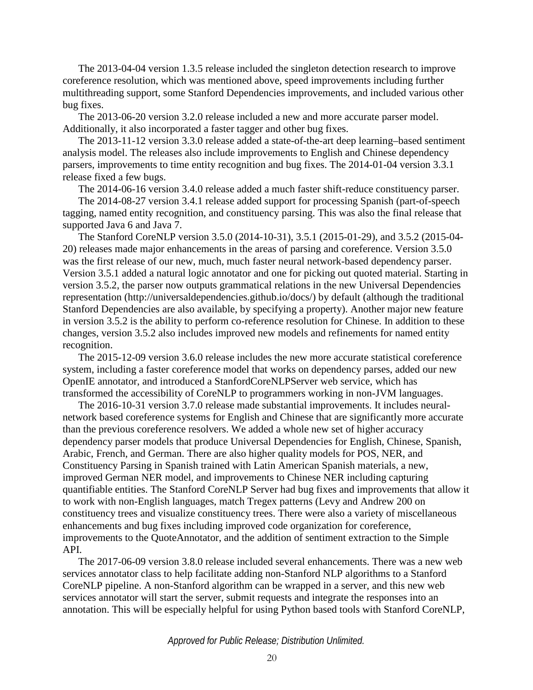The 2013-04-04 version 1.3.5 release included the singleton detection research to improve coreference resolution, which was mentioned above, speed improvements including further multithreading support, some Stanford Dependencies improvements, and included various other bug fixes.

The 2013-06-20 version 3.2.0 release included a new and more accurate parser model. Additionally, it also incorporated a faster tagger and other bug fixes.

The 2013-11-12 version 3.3.0 release added a state-of-the-art deep learning–based sentiment analysis model. The releases also include improvements to English and Chinese dependency parsers, improvements to time entity recognition and bug fixes. The 2014-01-04 version 3.3.1 release fixed a few bugs.

The 2014-06-16 version 3.4.0 release added a much faster shift-reduce constituency parser.

The 2014-08-27 version 3.4.1 release added support for processing Spanish (part-of-speech tagging, named entity recognition, and constituency parsing. This was also the final release that supported Java 6 and Java 7.

The Stanford CoreNLP version 3.5.0 (2014-10-31), 3.5.1 (2015-01-29), and 3.5.2 (2015-04- 20) releases made major enhancements in the areas of parsing and coreference. Version 3.5.0 was the first release of our new, much, much faster neural network-based dependency parser. Version 3.5.1 added a natural logic annotator and one for picking out quoted material. Starting in version 3.5.2, the parser now outputs grammatical relations in the new Universal Dependencies representation (http://universaldependencies.github.io/docs/) by default (although the traditional Stanford Dependencies are also available, by specifying a property). Another major new feature in version 3.5.2 is the ability to perform co-reference resolution for Chinese. In addition to these changes, version 3.5.2 also includes improved new models and refinements for named entity recognition.

The 2015-12-09 version 3.6.0 release includes the new more accurate statistical coreference system, including a faster coreference model that works on dependency parses, added our new OpenIE annotator, and introduced a StanfordCoreNLPServer web service, which has transformed the accessibility of CoreNLP to programmers working in non-JVM languages.

The 2016-10-31 version 3.7.0 release made substantial improvements. It includes neuralnetwork based coreference systems for English and Chinese that are significantly more accurate than the previous coreference resolvers. We added a whole new set of higher accuracy dependency parser models that produce Universal Dependencies for English, Chinese, Spanish, Arabic, French, and German. There are also higher quality models for POS, NER, and Constituency Parsing in Spanish trained with Latin American Spanish materials, a new, improved German NER model, and improvements to Chinese NER including capturing quantifiable entities. The Stanford CoreNLP Server had bug fixes and improvements that allow it to work with non-English languages, match Tregex patterns (Levy and Andrew 200 on constituency trees and visualize constituency trees. There were also a variety of miscellaneous enhancements and bug fixes including improved code organization for coreference, improvements to the QuoteAnnotator, and the addition of sentiment extraction to the Simple API.

The 2017-06-09 version 3.8.0 release included several enhancements. There was a new web services annotator class to help facilitate adding non-Stanford NLP algorithms to a Stanford CoreNLP pipeline. A non-Stanford algorithm can be wrapped in a server, and this new web services annotator will start the server, submit requests and integrate the responses into an annotation. This will be especially helpful for using Python based tools with Stanford CoreNLP,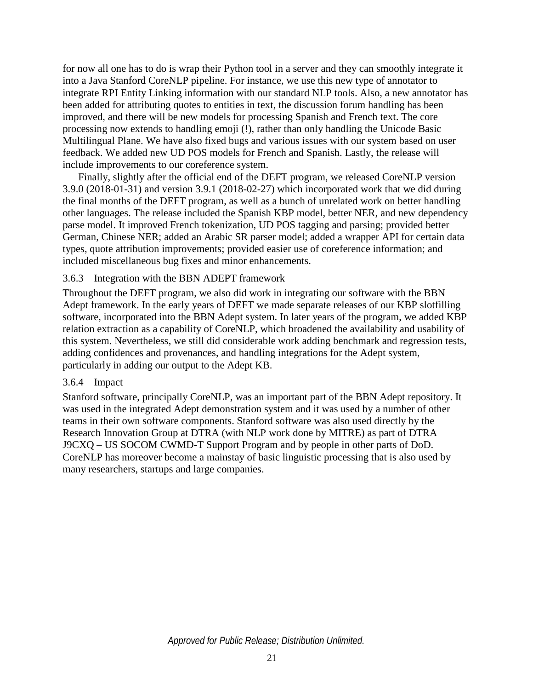for now all one has to do is wrap their Python tool in a server and they can smoothly integrate it into a Java Stanford CoreNLP pipeline. For instance, we use this new type of annotator to integrate RPI Entity Linking information with our standard NLP tools. Also, a new annotator has been added for attributing quotes to entities in text, the discussion forum handling has been improved, and there will be new models for processing Spanish and French text. The core processing now extends to handling emoji (!), rather than only handling the Unicode Basic Multilingual Plane. We have also fixed bugs and various issues with our system based on user feedback. We added new UD POS models for French and Spanish. Lastly, the release will include improvements to our coreference system.

Finally, slightly after the official end of the DEFT program, we released CoreNLP version 3.9.0 (2018-01-31) and version 3.9.1 (2018-02-27) which incorporated work that we did during the final months of the DEFT program, as well as a bunch of unrelated work on better handling other languages. The release included the Spanish KBP model, better NER, and new dependency parse model. It improved French tokenization, UD POS tagging and parsing; provided better German, Chinese NER; added an Arabic SR parser model; added a wrapper API for certain data types, quote attribution improvements; provided easier use of coreference information; and included miscellaneous bug fixes and minor enhancements.

### 3.6.3 Integration with the BBN ADEPT framework

Throughout the DEFT program, we also did work in integrating our software with the BBN Adept framework. In the early years of DEFT we made separate releases of our KBP slotfilling software, incorporated into the BBN Adept system. In later years of the program, we added KBP relation extraction as a capability of CoreNLP, which broadened the availability and usability of this system. Nevertheless, we still did considerable work adding benchmark and regression tests, adding confidences and provenances, and handling integrations for the Adept system, particularly in adding our output to the Adept KB.

### 3.6.4 Impact

Stanford software, principally CoreNLP, was an important part of the BBN Adept repository. It was used in the integrated Adept demonstration system and it was used by a number of other teams in their own software components. Stanford software was also used directly by the Research Innovation Group at DTRA (with NLP work done by MITRE) as part of DTRA J9CXQ – US SOCOM CWMD-T Support Program and by people in other parts of DoD. CoreNLP has moreover become a mainstay of basic linguistic processing that is also used by many researchers, startups and large companies.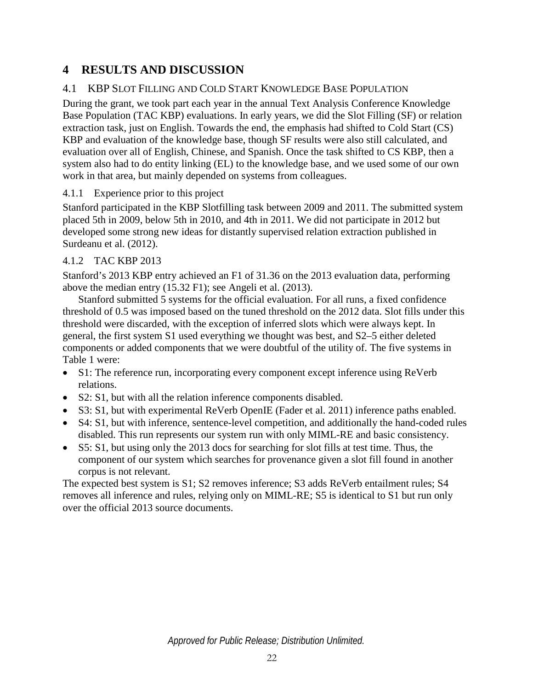# **4 RESULTS AND DISCUSSION**

# 4.1 KBP SLOT FILLING AND COLD START KNOWLEDGE BASE POPULATION

During the grant, we took part each year in the annual Text Analysis Conference Knowledge Base Population (TAC KBP) evaluations. In early years, we did the Slot Filling (SF) or relation extraction task, just on English. Towards the end, the emphasis had shifted to Cold Start (CS) KBP and evaluation of the knowledge base, though SF results were also still calculated, and evaluation over all of English, Chinese, and Spanish. Once the task shifted to CS KBP, then a system also had to do entity linking (EL) to the knowledge base, and we used some of our own work in that area, but mainly depended on systems from colleagues.

# 4.1.1 Experience prior to this project

Stanford participated in the KBP Slotfilling task between 2009 and 2011. The submitted system placed 5th in 2009, below 5th in 2010, and 4th in 2011. We did not participate in 2012 but developed some strong new ideas for distantly supervised relation extraction published in Surdeanu et al. (2012).

# 4.1.2 TAC KBP 2013

Stanford's 2013 KBP entry achieved an F1 of 31.36 on the 2013 evaluation data, performing above the median entry (15.32 F1); see Angeli et al. (2013).

Stanford submitted 5 systems for the official evaluation. For all runs, a fixed confidence threshold of 0.5 was imposed based on the tuned threshold on the 2012 data. Slot fills under this threshold were discarded, with the exception of inferred slots which were always kept. In general, the first system S1 used everything we thought was best, and S2–5 either deleted components or added components that we were doubtful of the utility of. The five systems in [Table 1](#page-28-0) were:

- S1: The reference run, incorporating every component except inference using ReVerb relations.
- S2: S1, but with all the relation inference components disabled.
- S3: S1, but with experimental ReVerb OpenIE (Fader et al. 2011) inference paths enabled.
- S4: S1, but with inference, sentence-level competition, and additionally the hand-coded rules disabled. This run represents our system run with only MIML-RE and basic consistency.
- S5: S1, but using only the 2013 docs for searching for slot fills at test time. Thus, the component of our system which searches for provenance given a slot fill found in another corpus is not relevant.

The expected best system is S1; S2 removes inference; S3 adds ReVerb entailment rules; S4 removes all inference and rules, relying only on MIML-RE; S5 is identical to S1 but run only over the official 2013 source documents.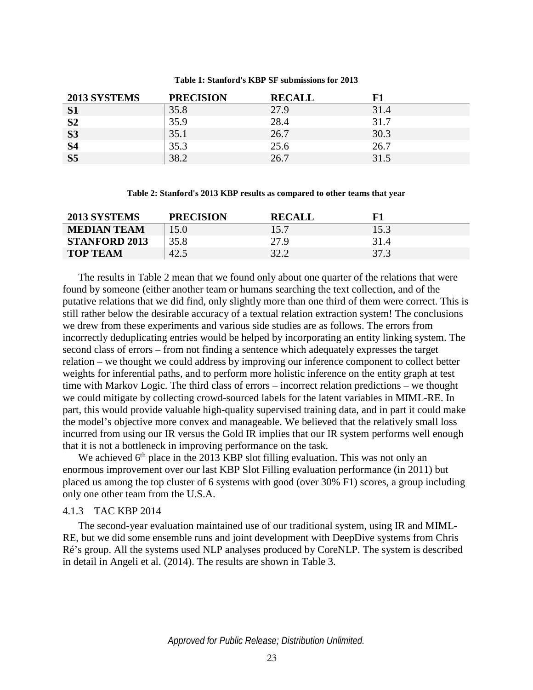#### **Table 1: Stanford's KBP SF submissions for 2013**

<span id="page-28-0"></span>

| 2013 SYSTEMS   | <b>PRECISION</b> | <b>RECALL</b> |      |
|----------------|------------------|---------------|------|
| S <sub>1</sub> | 35.8             | 27.9          | 31.4 |
| S <sub>2</sub> | 35.9             | 28.4          | 31.7 |
| <b>S3</b>      | 35.1             | 26.7          | 30.3 |
| <b>S4</b>      | 35.3             | 25.6          | 26.7 |
| S <sub>5</sub> | 38.2             | 26.7          | 31.5 |

**Table 2: Stanford's 2013 KBP results as compared to other teams that year**

<span id="page-28-2"></span><span id="page-28-1"></span>

| 2013 SYSTEMS         | <b>PRECISION</b> | <b>RECALL</b> |      |
|----------------------|------------------|---------------|------|
| <b>MEDIAN TEAM</b>   | 15.0             | 15.7          | 15.3 |
| <b>STANFORD 2013</b> | 35.8             | 27.9          | 31.4 |
| <b>TOP TEAM</b>      | 42.5             | 32.2          | 37.3 |

The results in [Table 2](#page-28-2) mean that we found only about one quarter of the relations that were found by someone (either another team or humans searching the text collection, and of the putative relations that we did find, only slightly more than one third of them were correct. This is still rather below the desirable accuracy of a textual relation extraction system! The conclusions we drew from these experiments and various side studies are as follows. The errors from incorrectly deduplicating entries would be helped by incorporating an entity linking system. The second class of errors – from not finding a sentence which adequately expresses the target relation – we thought we could address by improving our inference component to collect better weights for inferential paths, and to perform more holistic inference on the entity graph at test time with Markov Logic. The third class of errors – incorrect relation predictions – we thought we could mitigate by collecting crowd-sourced labels for the latent variables in MIML-RE. In part, this would provide valuable high-quality supervised training data, and in part it could make the model's objective more convex and manageable. We believed that the relatively small loss incurred from using our IR versus the Gold IR implies that our IR system performs well enough that it is not a bottleneck in improving performance on the task.

We achieved  $6<sup>th</sup>$  place in the 2013 KBP slot filling evaluation. This was not only an enormous improvement over our last KBP Slot Filling evaluation performance (in 2011) but placed us among the top cluster of 6 systems with good (over 30% F1) scores, a group including only one other team from the U.S.A.

#### 4.1.3 TAC KBP 2014

The second-year evaluation maintained use of our traditional system, using IR and MIML-RE, but we did some ensemble runs and joint development with DeepDive systems from Chris Ré's group. All the systems used NLP analyses produced by CoreNLP. The system is described in detail in Angeli et al. (2014). The results are shown in [Table 3.](#page-29-0)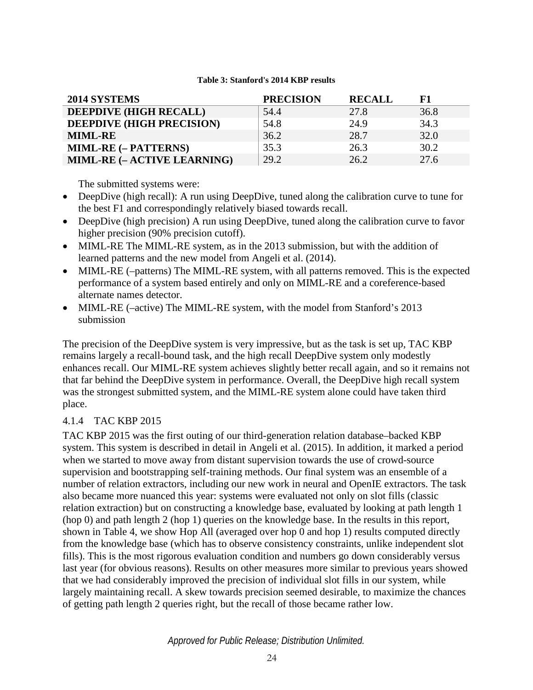#### **Table 3: Stanford's 2014 KBP results**

<span id="page-29-0"></span>

| 2014 SYSTEMS                | <b>PRECISION</b> | <b>RECALL</b> | ${\bf F1}$ |
|-----------------------------|------------------|---------------|------------|
| DEEPDIVE (HIGH RECALL)      | 54.4             | 27.8          | 36.8       |
| DEEPDIVE (HIGH PRECISION)   | 54.8             | 24.9          | 34.3       |
| <b>MIML-RE</b>              | 36.2             | 28.7          | 32.0       |
| <b>MIML-RE (- PATTERNS)</b> | 35.3             | 26.3          | 30.2       |
| MIML-RE (- ACTIVE LEARNING) | 29.2             | 26.2          | 27.6       |

The submitted systems were:

- DeepDive (high recall): A run using DeepDive, tuned along the calibration curve to tune for the best F1 and correspondingly relatively biased towards recall.
- DeepDive (high precision) A run using DeepDive, tuned along the calibration curve to favor higher precision (90% precision cutoff).
- MIML-RE The MIML-RE system, as in the 2013 submission, but with the addition of learned patterns and the new model from Angeli et al. (2014).
- MIML-RE (–patterns) The MIML-RE system, with all patterns removed. This is the expected performance of a system based entirely and only on MIML-RE and a coreference-based alternate names detector.
- MIML-RE (–active) The MIML-RE system, with the model from Stanford's 2013 submission

The precision of the DeepDive system is very impressive, but as the task is set up, TAC KBP remains largely a recall-bound task, and the high recall DeepDive system only modestly enhances recall. Our MIML-RE system achieves slightly better recall again, and so it remains not that far behind the DeepDive system in performance. Overall, the DeepDive high recall system was the strongest submitted system, and the MIML-RE system alone could have taken third place.

## 4.1.4 TAC KBP 2015

TAC KBP 2015 was the first outing of our third-generation relation database–backed KBP system. This system is described in detail in Angeli et al. (2015). In addition, it marked a period when we started to move away from distant supervision towards the use of crowd-source supervision and bootstrapping self-training methods. Our final system was an ensemble of a number of relation extractors, including our new work in neural and OpenIE extractors. The task also became more nuanced this year: systems were evaluated not only on slot fills (classic relation extraction) but on constructing a knowledge base, evaluated by looking at path length 1 (hop 0) and path length 2 (hop 1) queries on the knowledge base. In the results in this report, shown in [Table 4,](#page-30-2) we show Hop All (averaged over hop 0 and hop 1) results computed directly from the knowledge base (which has to observe consistency constraints, unlike independent slot fills). This is the most rigorous evaluation condition and numbers go down considerably versus last year (for obvious reasons). Results on other measures more similar to previous years showed that we had considerably improved the precision of individual slot fills in our system, while largely maintaining recall. A skew towards precision seemed desirable, to maximize the chances of getting path length 2 queries right, but the recall of those became rather low.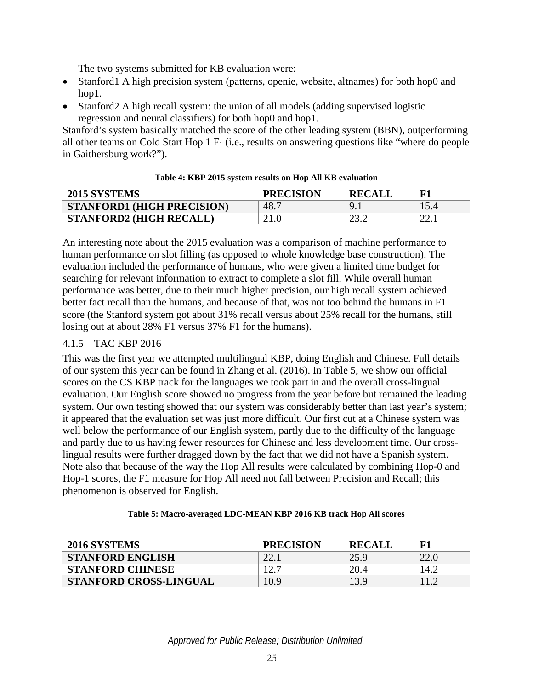The two systems submitted for KB evaluation were:

- Stanford1 A high precision system (patterns, openie, website, altnames) for both hop0 and hop1.
- Stanford2 A high recall system: the union of all models (adding supervised logistic regression and neural classifiers) for both hop0 and hop1.

Stanford's system basically matched the score of the other leading system (BBN), outperforming all other teams on Cold Start Hop  $1 \text{ F}_1$  (i.e., results on answering questions like "where do people" in Gaithersburg work?").

<span id="page-30-2"></span><span id="page-30-0"></span>

| <b>2015 SYSTEMS</b>               | <b>PRECISION</b> | <b>RECALL</b> |      |
|-----------------------------------|------------------|---------------|------|
| <b>STANFORD1 (HIGH PRECISION)</b> | 48.7             |               | 15.4 |
| <b>STANFORD2 (HIGH RECALL)</b>    | 21.0             | 23.2          |      |

#### **Table 4: KBP 2015 system results on Hop All KB evaluation**

An interesting note about the 2015 evaluation was a comparison of machine performance to human performance on slot filling (as opposed to whole knowledge base construction). The evaluation included the performance of humans, who were given a limited time budget for searching for relevant information to extract to complete a slot fill. While overall human performance was better, due to their much higher precision, our high recall system achieved better fact recall than the humans, and because of that, was not too behind the humans in F1 score (the Stanford system got about 31% recall versus about 25% recall for the humans, still losing out at about 28% F1 versus 37% F1 for the humans).

### 4.1.5 TAC KBP 2016

This was the first year we attempted multilingual KBP, doing English and Chinese. Full details of our system this year can be found in Zhang et al. (2016). In [Table 5,](#page-30-3) we show our official scores on the CS KBP track for the languages we took part in and the overall cross-lingual evaluation. Our English score showed no progress from the year before but remained the leading system. Our own testing showed that our system was considerably better than last year's system; it appeared that the evaluation set was just more difficult. Our first cut at a Chinese system was well below the performance of our English system, partly due to the difficulty of the language and partly due to us having fewer resources for Chinese and less development time. Our crosslingual results were further dragged down by the fact that we did not have a Spanish system. Note also that because of the way the Hop All results were calculated by combining Hop-0 and Hop-1 scores, the F1 measure for Hop All need not fall between Precision and Recall; this phenomenon is observed for English.

### **Table 5: Macro-averaged LDC-MEAN KBP 2016 KB track Hop All scores**

<span id="page-30-3"></span><span id="page-30-1"></span>

| 2016 SYSTEMS                  | <b>PRECISION</b> | <b>RECALL</b> |      |
|-------------------------------|------------------|---------------|------|
| <b>STANFORD ENGLISH</b>       |                  | 25.9          | 22.0 |
| <b>STANFORD CHINESE</b>       | 12.7             | 20.4          | 14.2 |
| <b>STANFORD CROSS-LINGUAL</b> | 10.9             | 13.9          |      |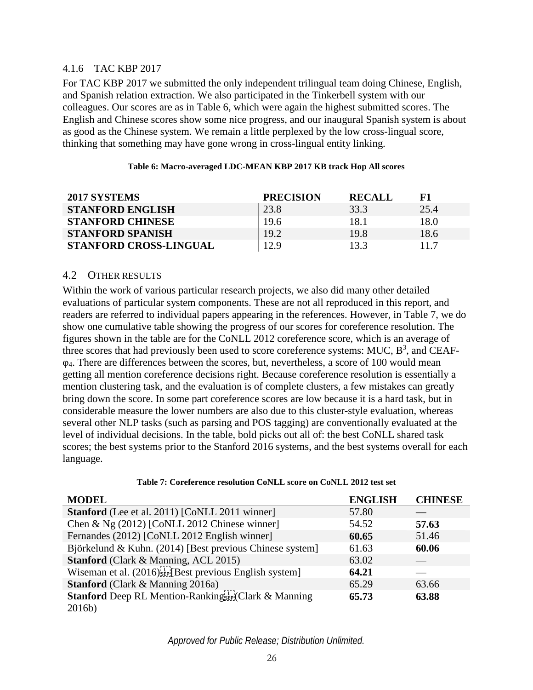### 4.1.6 TAC KBP 2017

For TAC KBP 2017 we submitted the only independent trilingual team doing Chinese, English, and Spanish relation extraction. We also participated in the Tinkerbell system with our colleagues. Our scores are as in [Table 6,](#page-31-2) which were again the highest submitted scores. The English and Chinese scores show some nice progress, and our inaugural Spanish system is about as good as the Chinese system. We remain a little perplexed by the low cross-lingual score, thinking that something may have gone wrong in cross-lingual entity linking.

<span id="page-31-2"></span><span id="page-31-0"></span>

| 2017 SYSTEMS                  | <b>PRECISION</b> | <b>RECALL</b> |      |
|-------------------------------|------------------|---------------|------|
| <b>STANFORD ENGLISH</b>       | 23.8             | 33.3          | 25.4 |
| <b>STANFORD CHINESE</b>       | 19.6             | 18.1          | 18.0 |
| <b>STANFORD SPANISH</b>       | 19.2             | 19.8          | 18.6 |
| <b>STANFORD CROSS-LINGUAL</b> | 12.9             | 13.3          | 11.7 |

#### **Table 6: Macro-averaged LDC-MEAN KBP 2017 KB track Hop All scores**

#### 4.2 OTHER RESULTS

Within the work of various particular research projects, we also did many other detailed evaluations of particular system components. These are not all reproduced in this report, and readers are referred to individual papers appearing in the references. However, in [Table 7,](#page-31-1) we do show one cumulative table showing the progress of our scores for coreference resolution. The figures shown in the table are for the CoNLL 2012 coreference score, which is an average of three scores that had previously been used to score coreference systems: MUC,  $B^3$ , and CEAFφ4. There are differences between the scores, but, nevertheless, a score of 100 would mean getting all mention coreference decisions right. Because coreference resolution is essentially a mention clustering task, and the evaluation is of complete clusters, a few mistakes can greatly bring down the score. In some part coreference scores are low because it is a hard task, but in considerable measure the lower numbers are also due to this cluster-style evaluation, whereas several other NLP tasks (such as parsing and POS tagging) are conventionally evaluated at the level of individual decisions. In the table, bold picks out all of: the best CoNLL shared task scores; the best systems prior to the Stanford 2016 systems, and the best systems overall for each language.

<span id="page-31-1"></span>

| <b>MODEL</b>                                                          | <b>ENGLISH</b> | <b>CHINESE</b> |
|-----------------------------------------------------------------------|----------------|----------------|
| <b>Stanford</b> (Lee et al. 2011) [CoNLL 2011 winner]                 | 57.80          |                |
| Chen & Ng (2012) [CoNLL 2012 Chinese winner]                          | 54.52          | 57.63          |
| Fernandes (2012) [CoNLL 2012 English winner]                          | 60.65          | 51.46          |
| Björkelund & Kuhn. (2014) [Best previous Chinese system]              | 61.63          | 60.06          |
| <b>Stanford</b> (Clark & Manning, ACL 2015)                           | 63.02          |                |
| Wiseman et al. $(2016)$ <sub>SEP</sub> [Best previous English system] | 64.21          |                |
| <b>Stanford</b> (Clark & Manning 2016a)                               | 65.29          | 63.66          |
| <b>Stanford</b> Deep RL Mention-Rankingser Clark & Manning            | 65.73          | 63.88          |
| 2016b)                                                                |                |                |

#### **Table 7: Coreference resolution CoNLL score on CoNLL 2012 test set**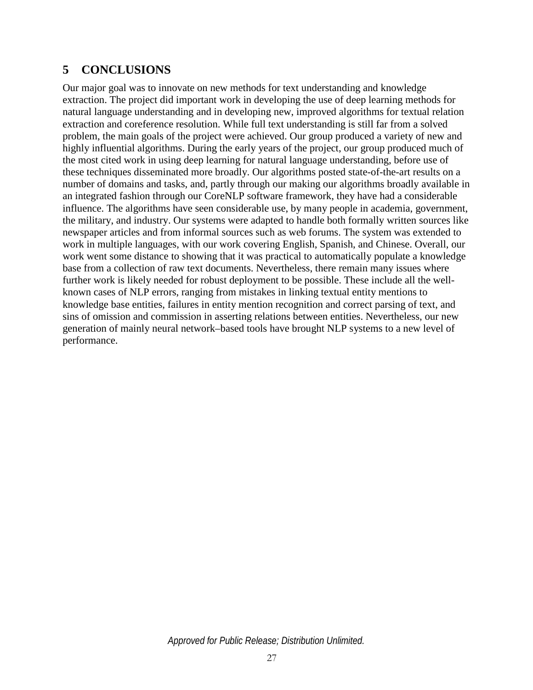# **5 CONCLUSIONS**

Our major goal was to innovate on new methods for text understanding and knowledge extraction. The project did important work in developing the use of deep learning methods for natural language understanding and in developing new, improved algorithms for textual relation extraction and coreference resolution. While full text understanding is still far from a solved problem, the main goals of the project were achieved. Our group produced a variety of new and highly influential algorithms. During the early years of the project, our group produced much of the most cited work in using deep learning for natural language understanding, before use of these techniques disseminated more broadly. Our algorithms posted state-of-the-art results on a number of domains and tasks, and, partly through our making our algorithms broadly available in an integrated fashion through our CoreNLP software framework, they have had a considerable influence. The algorithms have seen considerable use, by many people in academia, government, the military, and industry. Our systems were adapted to handle both formally written sources like newspaper articles and from informal sources such as web forums. The system was extended to work in multiple languages, with our work covering English, Spanish, and Chinese. Overall, our work went some distance to showing that it was practical to automatically populate a knowledge base from a collection of raw text documents. Nevertheless, there remain many issues where further work is likely needed for robust deployment to be possible. These include all the wellknown cases of NLP errors, ranging from mistakes in linking textual entity mentions to knowledge base entities, failures in entity mention recognition and correct parsing of text, and sins of omission and commission in asserting relations between entities. Nevertheless, our new generation of mainly neural network–based tools have brought NLP systems to a new level of performance.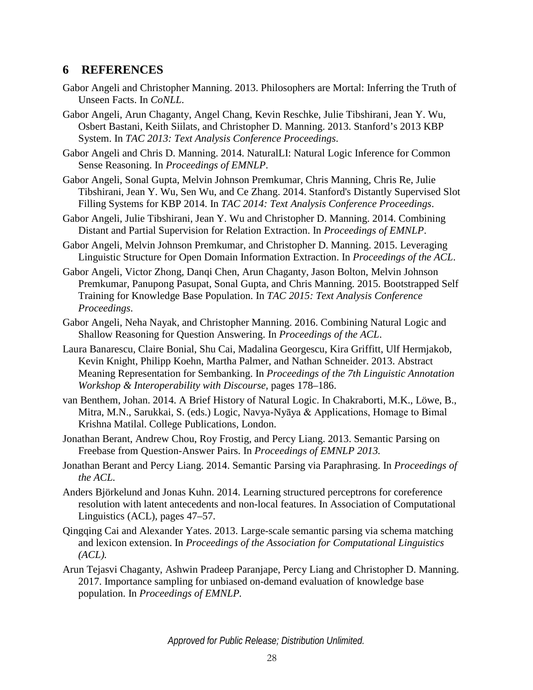# **6 REFERENCES**

- Gabor Angeli and Christopher Manning. 2013. Philosophers are Mortal: Inferring the Truth of Unseen Facts. In *CoNLL*.
- Gabor Angeli, Arun Chaganty, Angel Chang, Kevin Reschke, Julie Tibshirani, Jean Y. Wu, Osbert Bastani, Keith Siilats, and Christopher D. Manning. 2013. Stanford's 2013 KBP System. In *TAC 2013: Text Analysis Conference Proceedings*.
- Gabor Angeli and Chris D. Manning. 2014. NaturalLI: Natural Logic Inference for Common Sense Reasoning. In *Proceedings of EMNLP*.
- Gabor Angeli, Sonal Gupta, Melvin Johnson Premkumar, Chris Manning, Chris Re, Julie Tibshirani, Jean Y. Wu, Sen Wu, and Ce Zhang. 2014. Stanford's Distantly Supervised Slot Filling Systems for KBP 2014. In *TAC 2014: Text Analysis Conference Proceedings*.
- Gabor Angeli, Julie Tibshirani, Jean Y. Wu and Christopher D. Manning. 2014. Combining Distant and Partial Supervision for Relation Extraction. In *Proceedings of EMNLP*.
- Gabor Angeli, Melvin Johnson Premkumar, and Christopher D. Manning. 2015. Leveraging Linguistic Structure for Open Domain Information Extraction. In *Proceedings of the ACL*.
- Gabor Angeli, Victor Zhong, Danqi Chen, Arun Chaganty, Jason Bolton, Melvin Johnson Premkumar, Panupong Pasupat, Sonal Gupta, and Chris Manning. 2015. Bootstrapped Self Training for Knowledge Base Population. In *TAC 2015: Text Analysis Conference Proceedings*.
- Gabor Angeli, Neha Nayak, and Christopher Manning. 2016. Combining Natural Logic and Shallow Reasoning for Question Answering. In *Proceedings of the ACL*.
- Laura Banarescu, Claire Bonial, Shu Cai, Madalina Georgescu, Kira Griffitt, Ulf Hermjakob, Kevin Knight, Philipp Koehn, Martha Palmer, and Nathan Schneider. 2013. Abstract Meaning Representation for Sembanking. In *Proceedings of the 7th Linguistic Annotation Workshop & Interoperability with Discourse*, pages 178–186.
- van Benthem, Johan. 2014. A Brief History of Natural Logic. In Chakraborti, M.K., Löwe, B., Mitra, M.N., Sarukkai, S. (eds.) Logic, Navya-Nyāya & Applications, Homage to Bimal Krishna Matilal. College Publications, London.
- Jonathan Berant, Andrew Chou, Roy Frostig, and Percy Liang. 2013. Semantic Parsing on Freebase from Question-Answer Pairs. In *Proceedings of EMNLP 2013.*
- Jonathan Berant and Percy Liang. 2014. Semantic Parsing via Paraphrasing. In *Proceedings of the ACL.*
- Anders Björkelund and Jonas Kuhn. 2014. Learning structured perceptrons for coreference resolution with latent antecedents and non-local features. In Association of Computational Linguistics (ACL), pages 47–57.
- Qingqing Cai and Alexander Yates. 2013. Large-scale semantic parsing via schema matching and lexicon extension. In *Proceedings of the Association for Computational Linguistics (ACL).*
- Arun Tejasvi Chaganty, Ashwin Pradeep Paranjape, Percy Liang and Christopher D. Manning. 2017. Importance sampling for unbiased on-demand evaluation of knowledge base population. In *Proceedings of EMNLP.*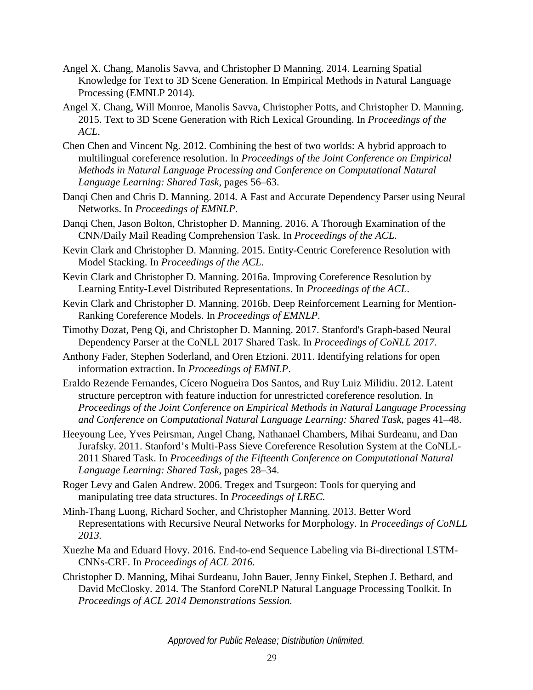- Angel X. Chang, Manolis Savva, and Christopher D Manning. 2014. Learning Spatial Knowledge for Text to 3D Scene Generation. In Empirical Methods in Natural Language Processing (EMNLP 2014).
- Angel X. Chang, Will Monroe, Manolis Savva, Christopher Potts, and Christopher D. Manning. 2015. Text to 3D Scene Generation with Rich Lexical Grounding. In *Proceedings of the ACL*.
- Chen Chen and Vincent Ng. 2012. Combining the best of two worlds: A hybrid approach to multilingual coreference resolution. In *Proceedings of the Joint Conference on Empirical Methods in Natural Language Processing and Conference on Computational Natural Language Learning: Shared Task*, pages 56–63.
- Danqi Chen and Chris D. Manning. 2014. A Fast and Accurate Dependency Parser using Neural Networks. In *Proceedings of EMNLP.*
- Danqi Chen, Jason Bolton, Christopher D. Manning. 2016. A Thorough Examination of the CNN/Daily Mail Reading Comprehension Task. In *Proceedings of the ACL.*
- Kevin Clark and Christopher D. Manning. 2015. Entity-Centric Coreference Resolution with Model Stacking. In *Proceedings of the ACL*.
- Kevin Clark and Christopher D. Manning. 2016a. Improving Coreference Resolution by Learning Entity-Level Distributed Representations. In *Proceedings of the ACL*.
- Kevin Clark and Christopher D. Manning. 2016b. Deep Reinforcement Learning for Mention-Ranking Coreference Models. In *Proceedings of EMNLP*.
- Timothy Dozat, Peng Qi, and Christopher D. Manning. 2017. Stanford's Graph-based Neural Dependency Parser at the CoNLL 2017 Shared Task. In *Proceedings of CoNLL 2017.*
- Anthony Fader, Stephen Soderland, and Oren Etzioni. 2011. Identifying relations for open information extraction. In *Proceedings of EMNLP*.
- Eraldo Rezende Fernandes, Cícero Nogueira Dos Santos, and Ruy Luiz Milidiu. 2012. Latent structure perceptron with feature induction for unrestricted coreference resolution. In *Proceedings of the Joint Conference on Empirical Methods in Natural Language Processing and Conference on Computational Natural Language Learning: Shared Task*, pages 41–48.
- Heeyoung Lee, Yves Peirsman, Angel Chang, Nathanael Chambers, Mihai Surdeanu, and Dan Jurafsky. 2011. Stanford's Multi-Pass Sieve Coreference Resolution System at the CoNLL-2011 Shared Task. In *Proceedings of the Fifteenth Conference on Computational Natural Language Learning: Shared Task*, pages 28–34.
- Roger Levy and Galen Andrew. 2006. Tregex and Tsurgeon: Tools for querying and manipulating tree data structures. In *Proceedings of LREC.*
- Minh-Thang Luong, Richard Socher, and Christopher Manning. 2013. Better Word Representations with Recursive Neural Networks for Morphology. In *Proceedings of CoNLL 2013.*
- Xuezhe Ma and Eduard Hovy. 2016. End-to-end Sequence Labeling via Bi-directional LSTM-CNNs-CRF. In *Proceedings of ACL 2016.*
- Christopher D. Manning, Mihai Surdeanu, John Bauer, Jenny Finkel, Stephen J. Bethard, and David McClosky. 2014. The Stanford CoreNLP Natural Language Processing Toolkit. In *Proceedings of ACL 2014 Demonstrations Session.*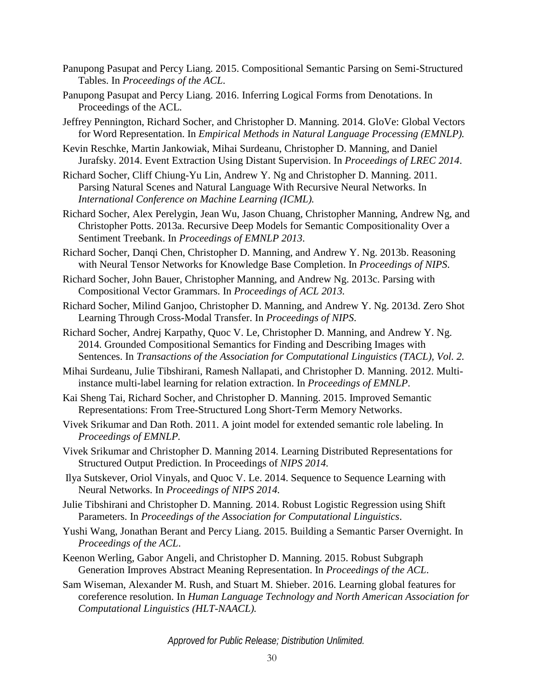- Panupong Pasupat and Percy Liang. 2015. Compositional Semantic Parsing on Semi-Structured Tables. In *Proceedings of the ACL*.
- Panupong Pasupat and Percy Liang. 2016. Inferring Logical Forms from Denotations. In Proceedings of the ACL.
- Jeffrey Pennington, Richard Socher, and Christopher D. Manning. 2014. GloVe: Global Vectors for Word Representation. In *Empirical Methods in Natural Language Processing (EMNLP).*
- Kevin Reschke, Martin Jankowiak, Mihai Surdeanu, Christopher D. Manning, and Daniel Jurafsky. 2014. Event Extraction Using Distant Supervision. In *Proceedings of LREC 2014*.
- Richard Socher, Cliff Chiung-Yu Lin, Andrew Y. Ng and Christopher D. Manning. 2011. Parsing Natural Scenes and Natural Language With Recursive Neural Networks. In *International Conference on Machine Learning (ICML).*
- Richard Socher, Alex Perelygin, Jean Wu, Jason Chuang, Christopher Manning, Andrew Ng, and Christopher Potts. 2013a. Recursive Deep Models for Semantic Compositionality Over a Sentiment Treebank. In *Proceedings of EMNLP 2013*.
- Richard Socher, Danqi Chen, Christopher D. Manning, and Andrew Y. Ng. 2013b. Reasoning with Neural Tensor Networks for Knowledge Base Completion. In *Proceedings of NIPS*.
- Richard Socher, John Bauer, Christopher Manning, and Andrew Ng. 2013c. Parsing with Compositional Vector Grammars. In *Proceedings of ACL 2013.*
- Richard Socher, Milind Ganjoo, Christopher D. Manning, and Andrew Y. Ng. 2013d. Zero Shot Learning Through Cross-Modal Transfer. In *Proceedings of NIPS*.
- Richard Socher, Andrej Karpathy, Quoc V. Le, Christopher D. Manning, and Andrew Y. Ng. 2014. Grounded Compositional Semantics for Finding and Describing Images with Sentences. In *Transactions of the Association for Computational Linguistics (TACL), Vol. 2.*
- Mihai Surdeanu, Julie Tibshirani, Ramesh Nallapati, and Christopher D. Manning. 2012. Multiinstance multi-label learning for relation extraction. In *Proceedings of EMNLP*.
- Kai Sheng Tai, Richard Socher, and Christopher D. Manning. 2015. Improved Semantic Representations: From Tree-Structured Long Short-Term Memory Networks.
- Vivek Srikumar and Dan Roth. 2011. A joint model for extended semantic role labeling. In *Proceedings of EMNLP.*
- Vivek Srikumar and Christopher D. Manning 2014. Learning Distributed Representations for Structured Output Prediction. In Proceedings of *NIPS 2014.*
- Ilya Sutskever, Oriol Vinyals, and Quoc V. Le. 2014. Sequence to Sequence Learning with Neural Networks. In *Proceedings of NIPS 2014.*
- Julie Tibshirani and Christopher D. Manning. 2014. Robust Logistic Regression using Shift Parameters. In *Proceedings of the Association for Computational Linguistics*.
- Yushi Wang, Jonathan Berant and Percy Liang. 2015. Building a Semantic Parser Overnight. In *Proceedings of the ACL*.
- Keenon Werling, Gabor Angeli, and Christopher D. Manning. 2015. Robust Subgraph Generation Improves Abstract Meaning Representation. In *Proceedings of the ACL*.
- Sam Wiseman, Alexander M. Rush, and Stuart M. Shieber. 2016. Learning global features for coreference resolution. In *Human Language Technology and North American Association for Computational Linguistics (HLT-NAACL).*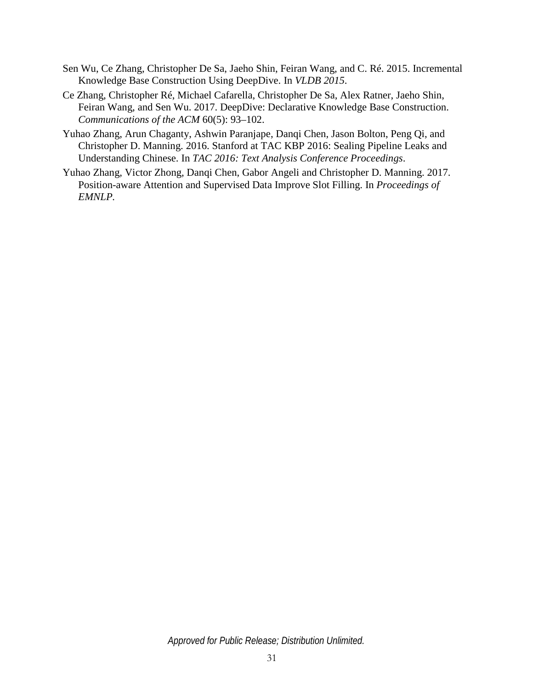- Sen Wu, Ce Zhang, Christopher De Sa, Jaeho Shin, Feiran Wang, and C. Ré. 2015. Incremental Knowledge Base Construction Using DeepDive. In *VLDB 2015*.
- Ce Zhang, Christopher Ré, Michael Cafarella, Christopher De Sa, Alex Ratner, Jaeho Shin, Feiran Wang, and Sen Wu. 2017. DeepDive: Declarative Knowledge Base Construction. *Communications of the ACM* 60(5): 93–102.
- Yuhao Zhang, Arun Chaganty, Ashwin Paranjape, Danqi Chen, Jason Bolton, Peng Qi, and Christopher D. Manning. 2016. Stanford at TAC KBP 2016: Sealing Pipeline Leaks and Understanding Chinese. In *TAC 2016: Text Analysis Conference Proceedings*.
- Yuhao Zhang, Victor Zhong, Danqi Chen, Gabor Angeli and Christopher D. Manning. 2017. Position-aware Attention and Supervised Data Improve Slot Filling. In *Proceedings of EMNLP.*